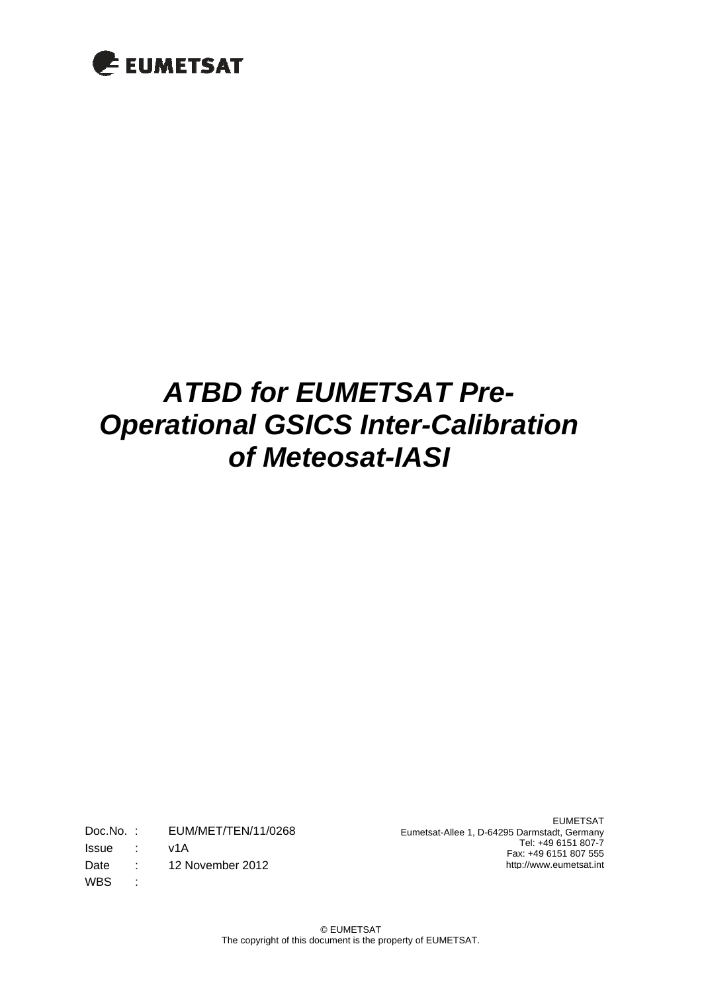

# *ATBD for EUMETSAT Pre-Operational GSICS Inter-Calibration of Meteosat-IASI*

Doc.No. : EUM/MET/TEN/11/0268 Issue : v1A Date : 12 November 2012 WBS :

EUMETSAT Eumetsat-Allee 1, D-64295 Darmstadt, Germany Tel: +49 6151 807-7 Fax: +49 6151 807 555 http://www.eumetsat.int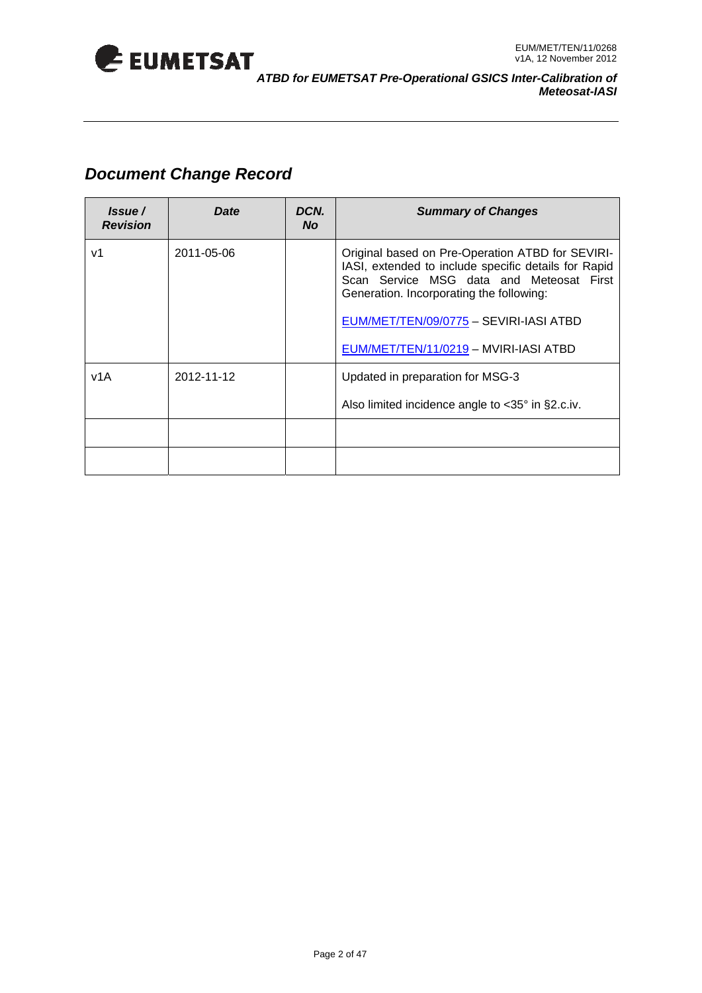

## *Document Change Record*

| Issue/<br><b>Revision</b> | Date       | DCN.<br><b>No</b> | <b>Summary of Changes</b>                                                                                                                                                                                                                                                           |  |  |  |
|---------------------------|------------|-------------------|-------------------------------------------------------------------------------------------------------------------------------------------------------------------------------------------------------------------------------------------------------------------------------------|--|--|--|
| v1                        | 2011-05-06 |                   | Original based on Pre-Operation ATBD for SEVIRI-<br>IASI, extended to include specific details for Rapid<br>Scan Service MSG data and Meteosat First<br>Generation. Incorporating the following:<br>EUM/MET/TEN/09/0775 - SEVIRI-IASI ATBD<br>EUM/MET/TEN/11/0219 - MVIRI-IASI ATBD |  |  |  |
| v1A                       | 2012-11-12 |                   | Updated in preparation for MSG-3<br>Also limited incidence angle to $<35^\circ$ in §2.c.iv.                                                                                                                                                                                         |  |  |  |
|                           |            |                   |                                                                                                                                                                                                                                                                                     |  |  |  |
|                           |            |                   |                                                                                                                                                                                                                                                                                     |  |  |  |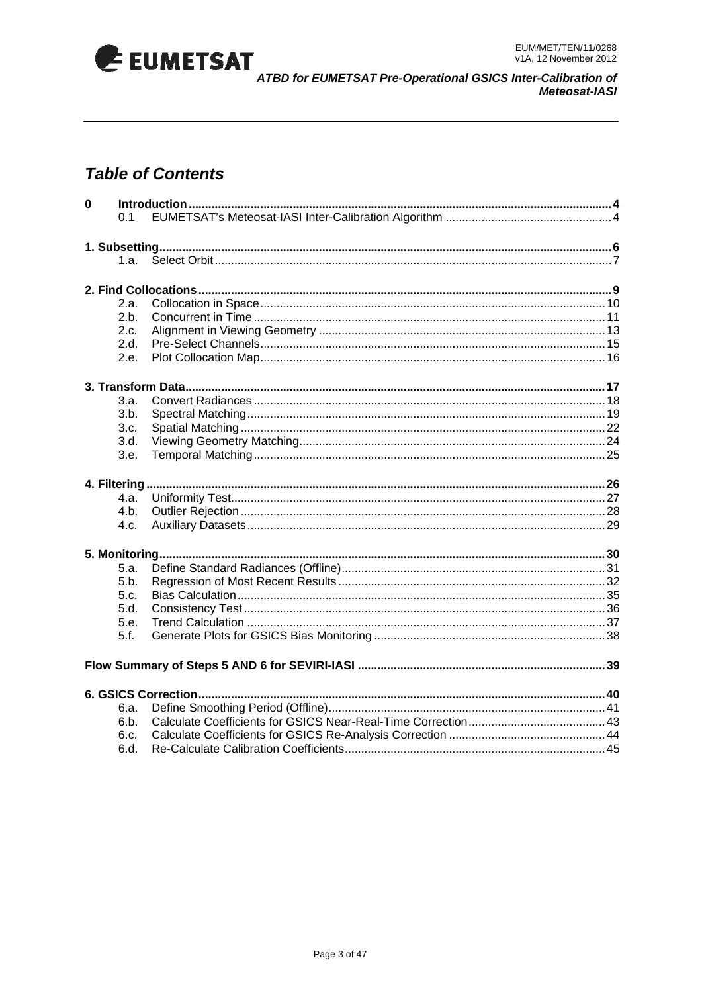

## **Table of Contents**

| $\mathbf 0$ |        |  |
|-------------|--------|--|
|             | 0.1    |  |
|             |        |  |
|             |        |  |
|             | 1.а. – |  |
|             |        |  |
|             |        |  |
|             | 2.a.   |  |
|             | 2.b.   |  |
|             | 2.c.   |  |
|             | 2.d.   |  |
|             | 2.e.   |  |
|             |        |  |
|             | 3.a.   |  |
|             | 3.b.   |  |
|             | 3.c.   |  |
|             | 3.d.   |  |
|             |        |  |
|             | 3.e.   |  |
|             |        |  |
|             | 4.a.   |  |
|             | 4.b.   |  |
|             | 4.c.   |  |
|             |        |  |
|             |        |  |
|             | 5.a.   |  |
|             | 5.b.   |  |
|             | 5.c.   |  |
|             | 5.d.   |  |
|             | 5.e.   |  |
|             | 5.f.   |  |
|             |        |  |
|             |        |  |
|             |        |  |
|             | 6.a.   |  |
|             | 6.b.   |  |
|             | 6.c.   |  |
|             | 6.d.   |  |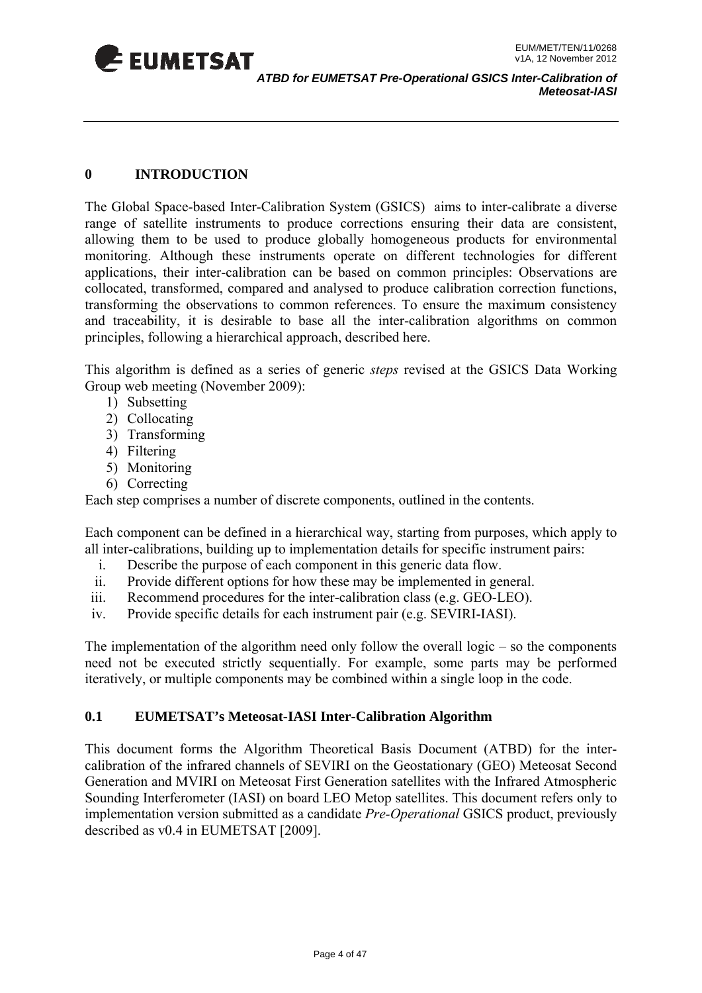<span id="page-3-0"></span>

#### **0 INTRODUCTION**

The Global Space-based Inter-Calibration System (GSICS) aims to inter-calibrate a diverse range of satellite instruments to produce corrections ensuring their data are consistent, allowing them to be used to produce globally homogeneous products for environmental monitoring. Although these instruments operate on different technologies for different applications, their inter-calibration can be based on common principles: Observations are collocated, transformed, compared and analysed to produce calibration correction functions, transforming the observations to common references. To ensure the maximum consistency and traceability, it is desirable to base all the inter-calibration algorithms on common principles, following a hierarchical approach, described here.

This algorithm is defined as a series of generic *steps* revised at the GSICS Data Working Group web meeting (November 2009):

- 1) Subsetting
- 2) Collocating
- 3) Transforming
- 4) Filtering
- 5) Monitoring
- 6) Correcting

Each step comprises a number of discrete components, outlined in the contents.

Each component can be defined in a hierarchical way, starting from purposes, which apply to all inter-calibrations, building up to implementation details for specific instrument pairs:

- i. Describe the purpose of each component in this generic data flow.
- ii. Provide different options for how these may be implemented in general.
- iii. Recommend procedures for the inter-calibration class (e.g. GEO-LEO).
- iv. Provide specific details for each instrument pair (e.g. SEVIRI-IASI).

The implementation of the algorithm need only follow the overall logic  $-$  so the components need not be executed strictly sequentially. For example, some parts may be performed iteratively, or multiple components may be combined within a single loop in the code.

#### **0.1 EUMETSAT's Meteosat-IASI Inter-Calibration Algorithm**

This document forms the Algorithm Theoretical Basis Document (ATBD) for the intercalibration of the infrared channels of SEVIRI on the Geostationary (GEO) Meteosat Second Generation and MVIRI on Meteosat First Generation satellites with the Infrared Atmospheric Sounding Interferometer (IASI) on board LEO Metop satellites. This document refers only to implementation version submitted as a candidate *Pre-Operational* GSICS product, previously described as v0.4 in EUMETSAT [2009].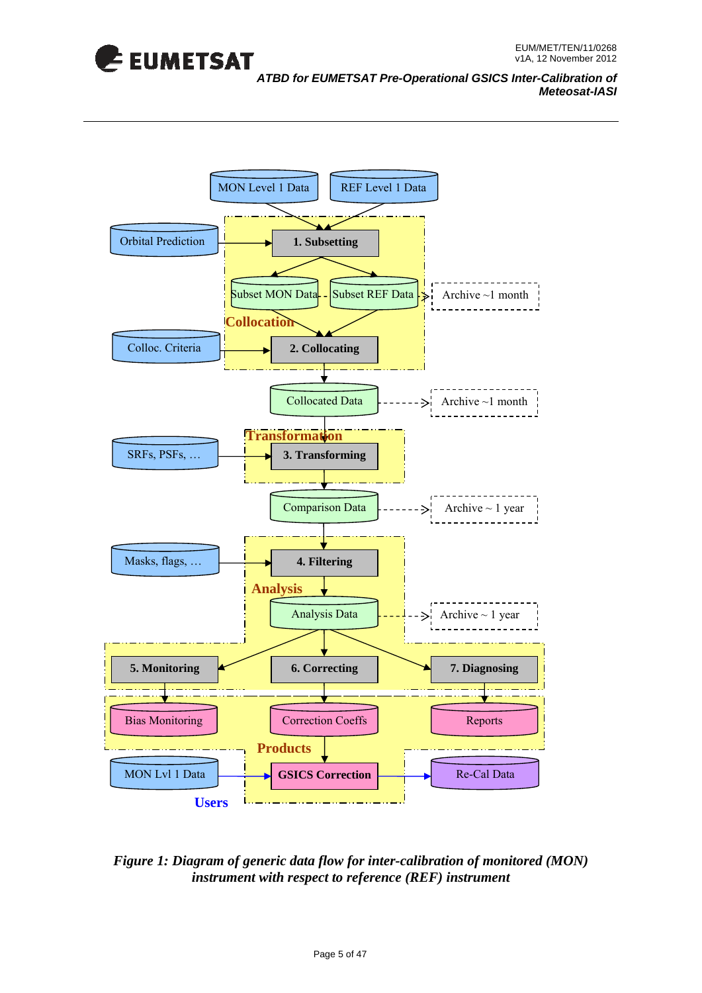

#### *ATBD for EUMETSAT Pre-Operational GSICS Inter-Calibration of Meteosat-IASI*



#### *Figure 1: Diagram of generic data flow for inter-calibration of monitored (MON) instrument with respect to reference (REF) instrument*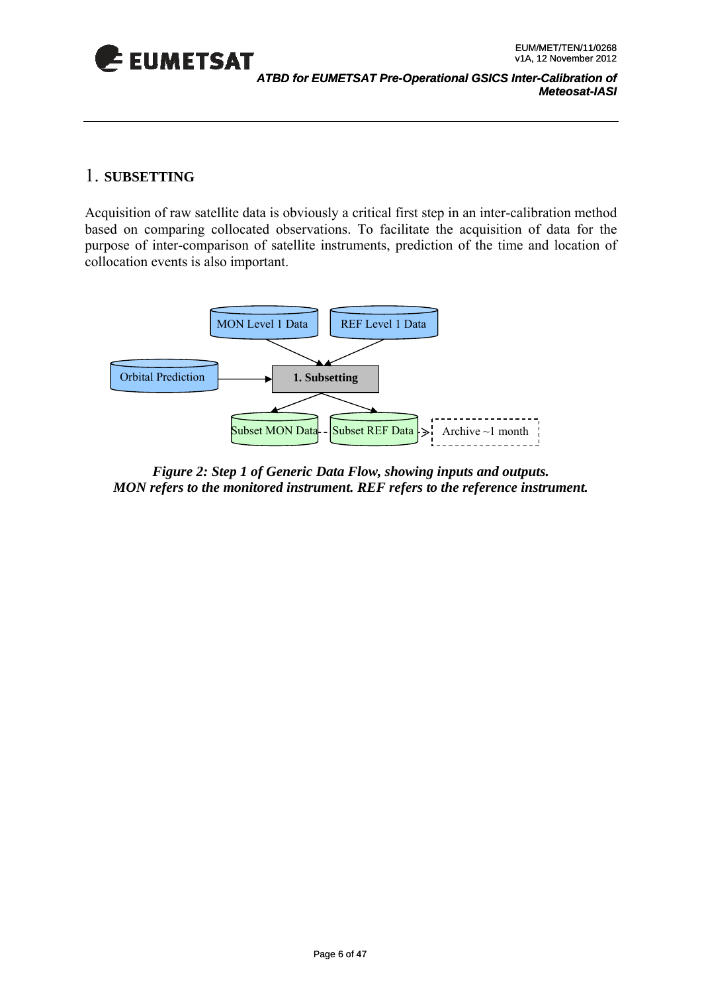<span id="page-5-0"></span>

### 1. **SUBSETTING**

Acquisition of raw satellite data is obviously a critical first step in an inter-calibration method based on comparing collocated observations. To facilitate the acquisition of data for the purpose of inter-comparison of satellite instruments, prediction of the time and location of collocation events is also important.



*Figure 2: Step 1 of Generic Data Flow, showing inputs and outputs. MON refers to the monitored instrument. REF refers to the reference instrument.*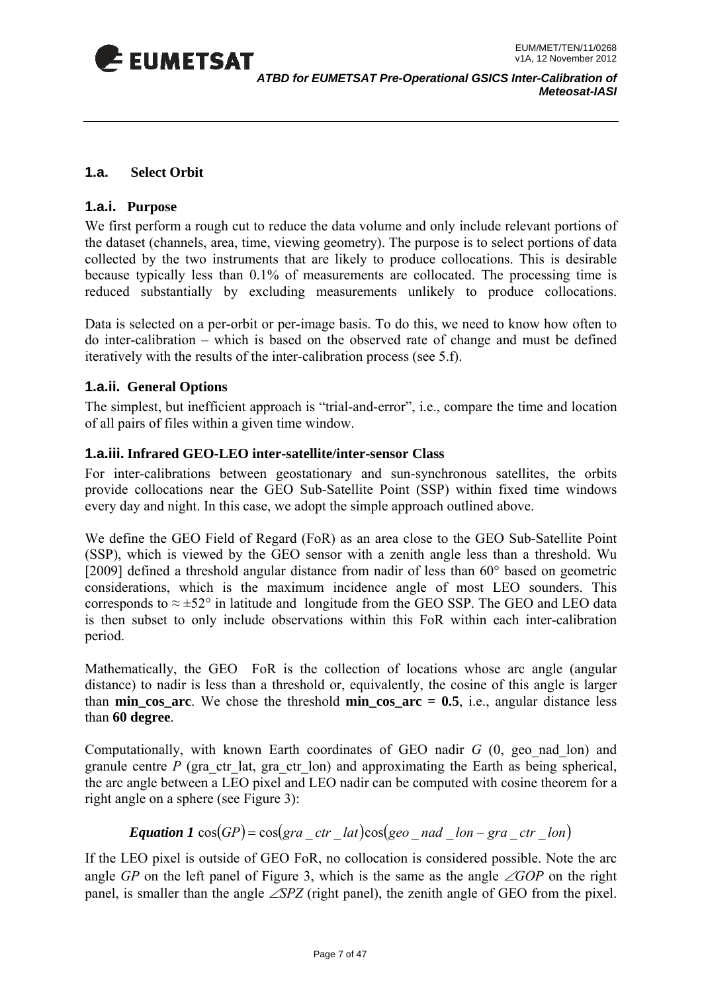<span id="page-6-0"></span>

#### **1.a. Select Orbit**

#### **1.a.i. Purpose**

collected by the two instruments that are likely to produce collocations. This is desirable because typically less than 0.1% of measurements are collocated. The processing time is reduced substantially by excluding measurements unlikely to produce collocations. We first perform a rough cut to reduce the data volume and only include relevant portions of the dataset (channels, area, time, viewing geometry). The purpose is to select portions of data

Data is selected on a per-orbit or per-image basis. To do this, we need to know how often to do inter-calibration – which is based on the observed rate of change and must be defined iteratively with the results of the inter-calibration process (see 5.f).

#### **1.a.ii.** General Options

The simplest, but inefficient approach is "trial-and-error", i.e., compare the time and location of all pairs of files within a given time window.

#### **1.a.iii. Infrared GEO-LEO inter-satellite/inter-sensor Class**

For inter-calibrations between geostationary and sun-synchronous satellites, the orbits provide collocations near the GEO Sub-Satellite Point (SSP) within fixed time windows every day and night. In this case, we adopt the simple approach outlined above.

We define the GEO Field of Regard (FoR) as an area close to the GEO Sub-Satellite Point (SSP), which is viewed by the GEO sensor with a zenith angle less than a threshold. Wu [2009] defined a threshold angular distance from nadir of less than 60° based on geometric considerations, which is the maximum incidence angle of most LEO sounders. This corresponds to  $\approx \pm 52^{\circ}$  in latitude and longitude from the GEO SSP. The GEO and LEO data is then subset to only include observations within this FoR within each inter-calibration period.

Mathematically, the GEO FoR is the collection of locations whose arc angle (angular distance) to nadir is less than a threshold or, equivalently, the cosine of this angle is larger than **min\_cos\_arc**. We chose the threshold **min\_cos\_arc = 0.5**, i.e., angular distance less than **60 degree**.

Computationally, with known Earth coordinates of GEO nadir *G* (0, geo\_nad\_lon) and granule centre *P* (gra ctr lat, gra ctr lon) and approximating the Earth as being spherical, the arc angle between a LEO pixel and LEO nadir can be computed with cosine theorem for a right angle on a sphere (see Figure 3):

#### $E$ quation 1  $cos(GP) = cos(gra - ctr - lat)cos(geo - nad - lon - gra - ctr - lon)$

If the LEO pixel is outside of GEO FoR, no collocation is considered possible. Note the arc angle *GP* on the left panel of Figure 3, which is the same as the angle ∠*GOP* on the right panel, is smaller than the angle ∠*SPZ* (right panel), the zenith angle of GEO from the pixel.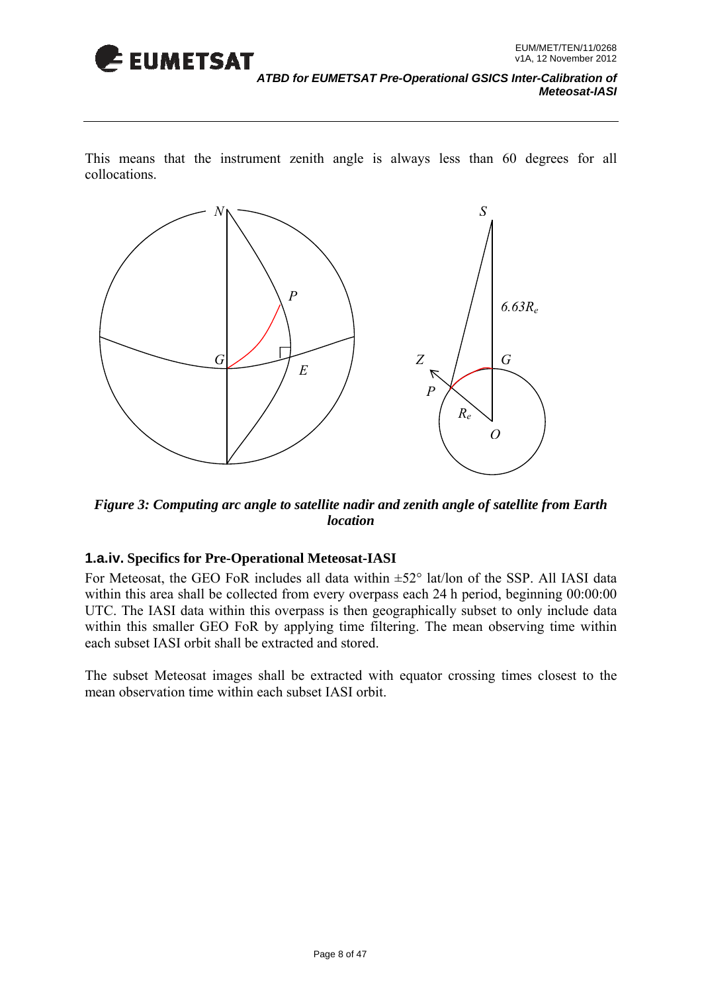

*ATBD for EUMETSAT Pre-Operational GSICS Inter-Calibration of Meteosat-IASI* 

This means that the instrument zenith angle is always less than 60 degrees for all collocations.



Figure 3: Computing arc angle to satellite nadir and zenith angle of satellite from Earth *location* 

#### **1.a.iv. Specifics for Pre-Operational Meteosat-IASI**

each subset IASI orbit shall be extracted and stored. For Meteosat, the GEO FoR includes all data within  $\pm 52^\circ$  lat/lon of the SSP. All IASI data within this area shall be collected from every overpass each 24 h period, beginning 00:00:00 UTC. The IASI data within this overpass is then geographically subset to only include data within this smaller GEO FoR by applying time filtering. The mean observing time within

The subset Meteosat images shall be extracted with equator crossing times closest to the mean observation time within each subset IASI orbit.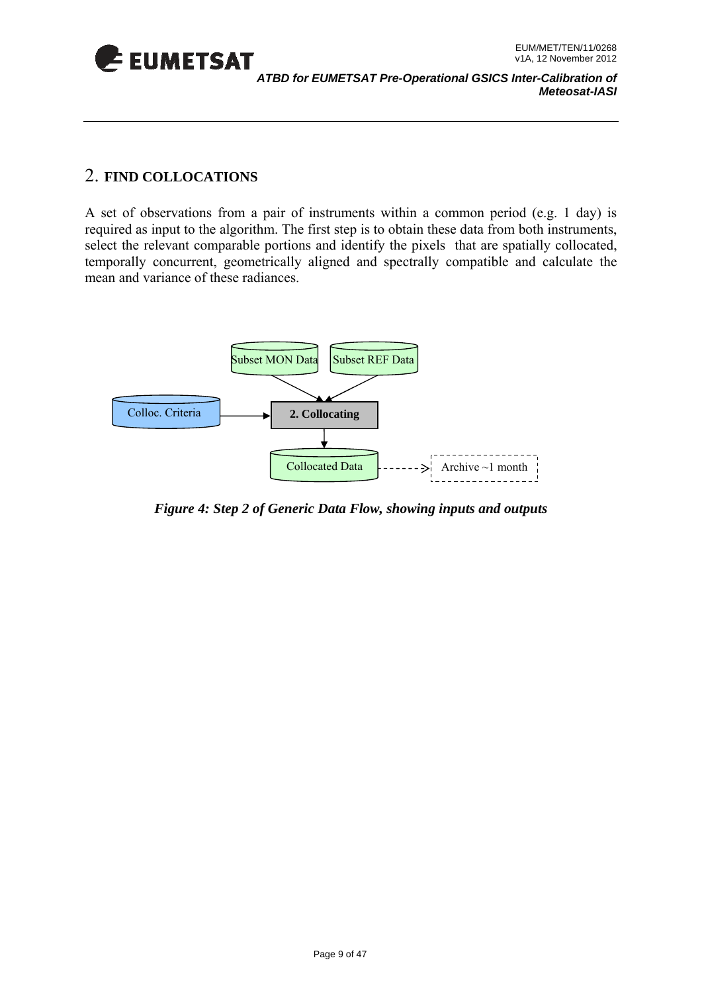<span id="page-8-0"></span>

### 2. **FIND COLLOCATIONS**

required as input to the algorithm. The first step is to obtain these data from both instruments, select the relevant comparable portions and identify the pixels that are spatially collocated, A set of observations from a pair of instruments within a common period (e.g. 1 day) is temporally concurrent, geometrically aligned and spectrally compatible and calculate the mean and variance of these radiances.



*Figure 4: Step 2 of Generic Data Flow, showing inputs and outputs*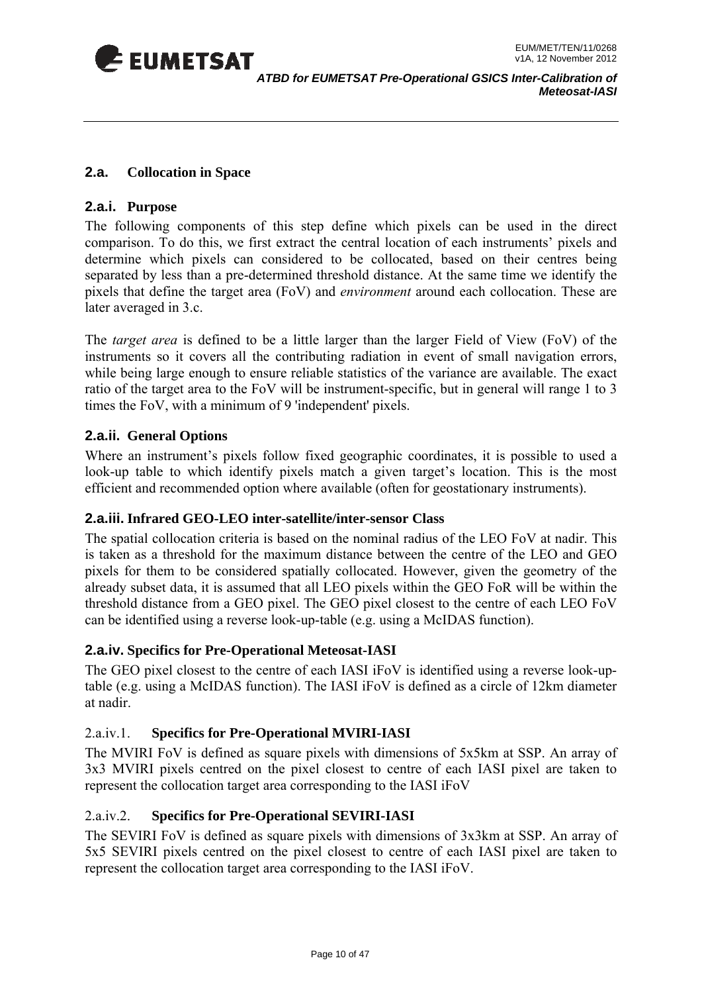<span id="page-9-0"></span>

#### **2.a. Collocation in Space**

#### **2.a.i. Purpose**

The following components of this step define which pixels can be used in the direct comparison. To do this, we first extract the central location of each instruments' pixels and determine which pixels can considered to be collocated, based on their centres being separated by less than a pre-determined threshold distance. At the same time we identify the pixels that define the target area (FoV) and *environment* around each collocation. These are later averaged in 3.c.

The *target area* is defined to be a little larger than the larger Field of View (FoV) of the instruments so it covers all the contributing radiation in event of small navigation errors, while being large enough to ensure reliable statistics of the variance are available. The exact ratio of the target area to the FoV will be instrument-specific, but in general will range 1 to 3 times the FoV, with a minimum of 9 'independent' pixels.

#### **2.a.ii. General Options**

Where an instrument's pixels follow fixed geographic coordinates, it is possible to used a look-up table to which identify pixels match a given target's location. This is the most efficient and recommended option where available (often for geostationary instruments).

#### **2.a.iii. Infr ared GEO-LEO inter-satellite/inter-sensor Class**

The spatial collocation criteria is based on the nominal radius of the LEO FoV at nadir. This is taken as a threshold for the maximum distance between the centre of the LEO and GEO pixels for them to be considered spatially collocated. However, given the geometry of the already subset data, it is assumed that all LEO pixels within the GEO FoR will be within the threshold distance from a GEO pixel. The GEO pixel closest to the centre of each LEO FoV can be identified using a reverse look-up-table (e.g. using a McIDAS function).

#### **2.a.iv. Specifics for Pre-Operational Meteosat-IASI**

The GEO pixel closest to the centre of each IASI iFoV is identified using a reverse look-uptable (e.g. using a McIDAS function). The IASI iFoV is defined as a circle of 12km diameter at nadir.

#### 2.a.iv.1. **Specifics for Pre-Operational MVIRI-IASI**

The MVIRI FoV is defined as square pixels with dimensions of 5x5km at SSP. An array of 3x3 MVIRI pixels centred on the pixel closest to centre of each IASI pixel are taken to represent the collocation target area corresponding to the IASI iFoV

#### 2.a.iv.2. **Specifics for Pre-Operational SEVIRI-IASI**

The SEVIRI FoV is defined as square pixels with dimensions of 3x3km at SSP. An array of 5x5 SEVIRI pixels centred on the pixel closest to centre of each IASI pixel are taken to represent the collocation target area corresponding to the IASI iFoV.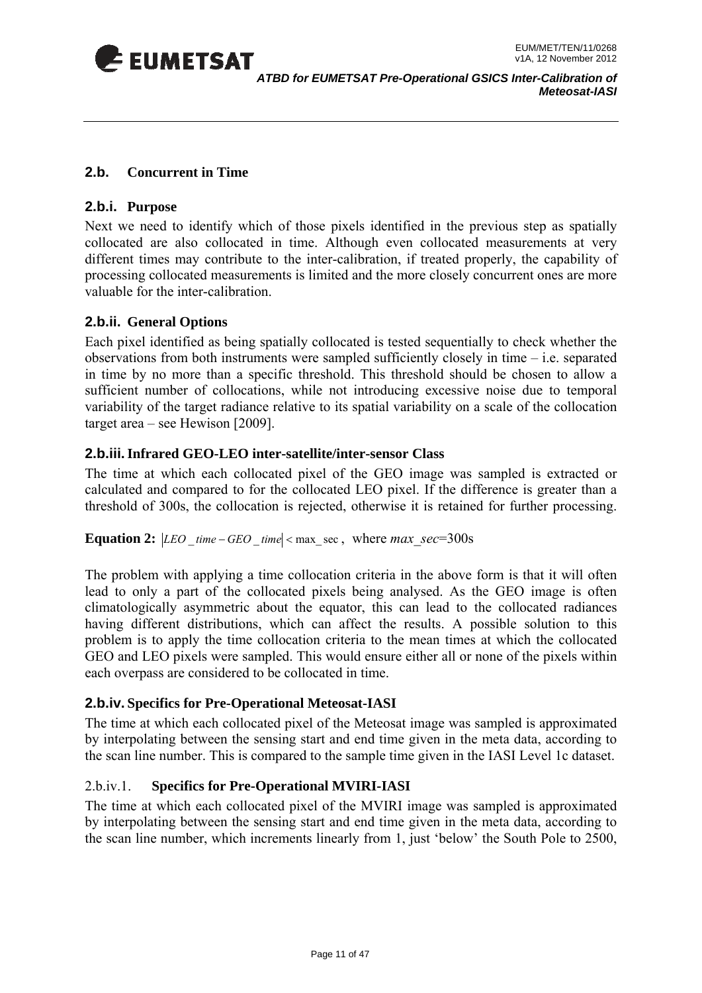<span id="page-10-0"></span>

#### **2.b. Concurrent in Time**

#### **2.b.i. Purpose**

Next we need to identify which of those pixels identified in the previous step as spatially collocated are also collocated in time. Although even collocated measurements at very different times may contribute to the inter-calibration, if treated properly, the capability of processing collocated measurements is limited and the more closely concurrent ones are more valuable for the inter-calibration.

#### **2.b.ii. General Options**

variability of the target radiance relative to its spatial variability on a scale of the collocation target area – see Hewison [2009]. Each pixel identified as being spatially collocated is tested sequentially to check whether the observations from both instruments were sampled sufficiently closely in time – i.e. separated in time by no more than a specific threshold. This threshold should be chosen to allow a sufficient number of collocations, while not introducing excessive noise due to temporal

#### **2.b.iii. Infrared GEO-LEO inter-satellite/inter-sensor Class**

calculated and compared to for the collocated LEO pixel. If the difference is greater than a threshold of 300s, the collocation is rejected, otherwise it is retained for further processing. The time at which each collocated pixel of the GEO image was sampled is extracted or

#### **Equation 2:**  $|LEO \times = - GEO \times = -200$  *time*  $|<$  max sec. where *max* sec=300s

The problem with applying a time collocation criteria in the above form is that it will often lead to only a part of the collocated pixels being analysed. As the GEO image is often climatologically asymmetric about the equator, this can lead to the collocated radiances having different distributions, which can affect the results. A possible solution to this problem is to apply the time collocation criteria to the mean times at which the collocated GEO and LEO pixels were sampled. This would ensure either all or none of the pixels within each overpass are considered to be collocated in time.

#### **ecifics for Pre-Operational Meteosat-IASI 2.b.iv. Sp**

The time at which each collocated pixel of the Meteosat image was sampled is approximated by interpolating between the sensing start and end time given in the meta data, according to the scan line number. This is compared to the sample time given in the IASI Level 1c dataset.

#### 2.b.iv.1. **Specifics for Pre-Operational MVIRI-IASI**

The time at which each collocated pixel of the MVIRI image was sampled is approximated by interpolating between the sensing start and end time given in the meta data, according to the scan line number, which increments linearly from 1, just 'below' the South Pole to 2500,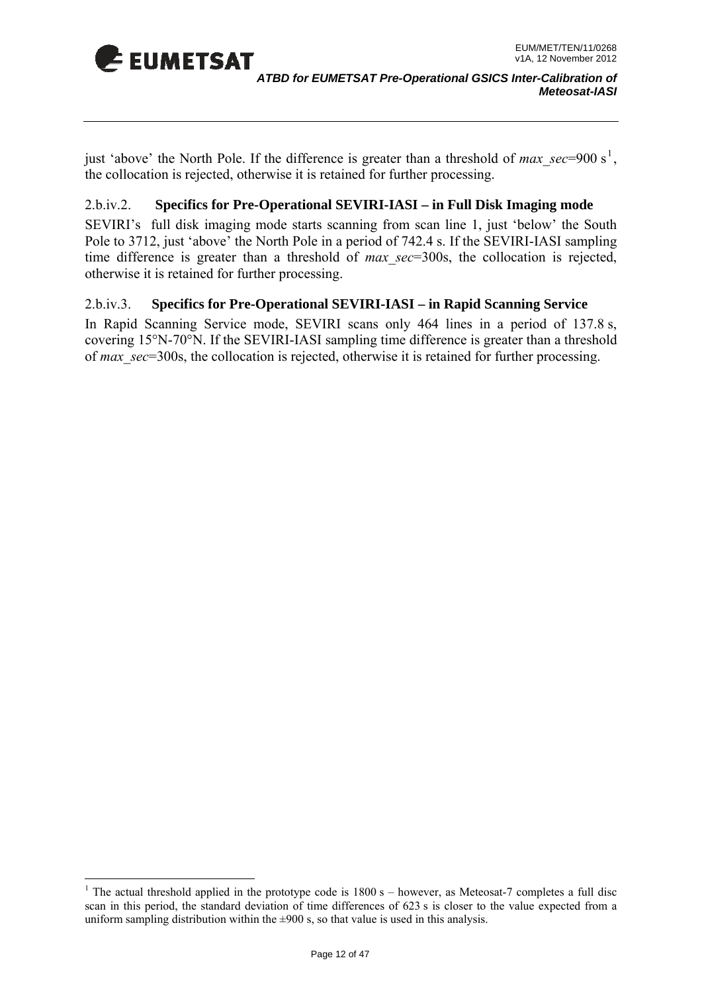

1

just 'above' the North Pole. If the difference is greater than a threshold of *max* sec=900 s<sup>1</sup>, the collocation is rejected, otherwise it is retained for further processing.

#### **ifics for Pre-Operational SEVIRI-IASI – in Full Disk Imaging mode**   $2.b.iv.2.$

SEVIRI's full disk imaging mode starts scanning from scan line 1, just 'below' the South Pole to 3712, just 'above' the North Pole in a period of 742.4 s. If the SEVIRI-IASI sampling time difference is greater than a threshold of *max\_sec*=300s, the collocation is rejected, otherwise it is retained for further processing.

#### 2.b.iv.3. **Specifics for Pre-Operational SEVIRI-IASI – in Rapid Scanning Service**

In Rapid Scanning Service mode, SEVIRI scans only 464 lines in a period of 137.8 s, covering 15°N-70°N. If the SEVIRI-IASI sampling time difference is greater than a threshold of *max\_sec*=300s, the collocation is rejected, otherwise it is retained for further processing.

<sup>&</sup>lt;sup>1</sup> The actual threshold applied in the prototype code is  $1800 s -$  however, as Meteosat-7 completes a full disc scan in this period, the standard deviation of time differences of 623 s is closer to the value expected from a uniform sampling distribution within the  $\pm 900$  s, so that value is used in this analysis.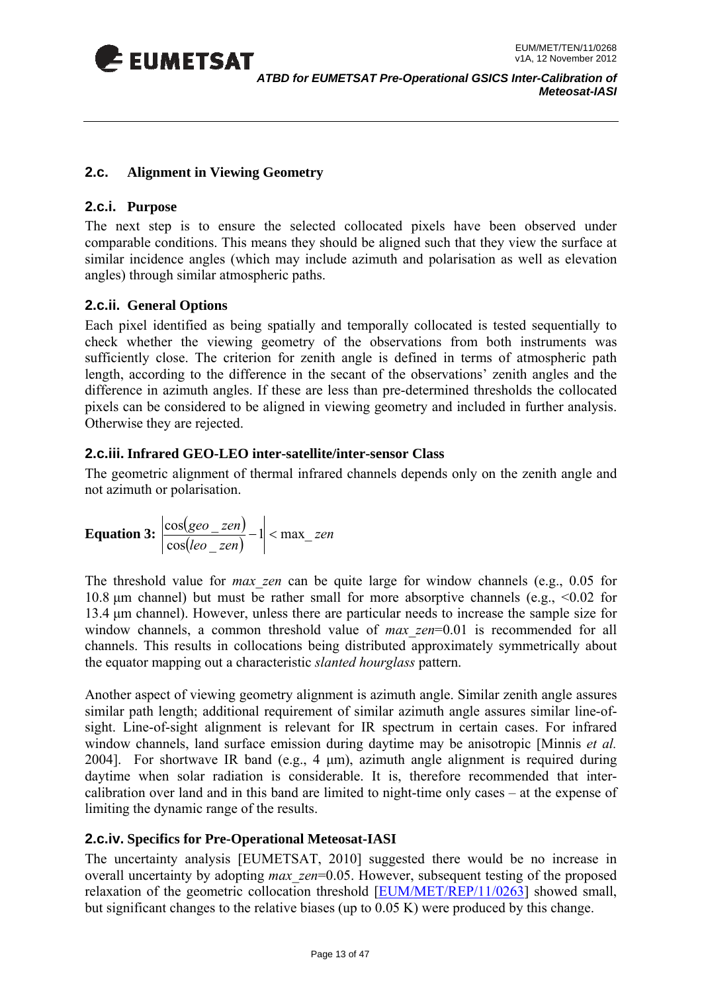<span id="page-12-0"></span>

#### **2.c. Alignment in Viewing Geometry**

#### **2.c.i. Purpose**

The next step is to ensure the selected collocated pixels have been observed under comparable conditions. This means they should be aligned such that they view the surface at similar incidence angles (which may include azimuth and polarisation as well as elevation angles) through similar atmospheric paths.

#### **2.c.ii. General Options**

Each pixel identified as being spatially and temporally collocated is tested sequentially to check whether the viewing geometry of the observations from both instruments was sufficiently close. The criterion for zenith angle is defined in terms of atmospheric path length, according to the difference in the secant of the observations' zenith angles and the difference in azimuth angles. If these are less than pre-determined thresholds the collocated pixels can be considered to be aligned in viewing geometry and included in further analysis. Otherwise they are rejected.

#### **2.c.iii. Infrared GEO-LEO inter-satellite/inter-sensor Class**

The geometric alignment of thermal infrared channels depends only on the zenith angle and not azimuth or polarisation.

**Equation 3:** 
$$
\left| \frac{\cos(geo\_zen)}{\cos(leo\_zen)} - 1 \right| < \max\_zen
$$

The threshold value for *max\_zen* can be quite large for window channels (e.g., 0.05 for 10.8 μm channel) but must be rather small for more absorptive channels (e.g., <0.02 for 13.4 μm channel). However, unless there are particular needs to increase the sample size for window channels, a common threshold value of *max zen*=0.01 is recommended for all channels. This results in collocations being distributed approximately symmetrically about the equator mapping out a characteristic *slanted hourglass* pattern.

Another aspect of viewing geometry alignment is azimuth angle. Similar zenith angle assures similar path length; additional requirement of similar azimuth angle assures similar line-ofsight. Line-of-sight alignment is relevant for IR spectrum in certain cases. For infrared window channels, land surface emission during daytime may be anisotropic [Minnis *et al.* 2004]. For shortwave IR band (e.g., 4 μm), azimuth angle alignment is required during daytime when solar radiation is considerable. It is, therefore recommended that intercalibration over land and in this band are limited to night-time only cases – at the expense of limiting the dynamic range of the results.

#### **2.c.iv. Specifics for Pre-Operational Meteosat-IASI**

The uncertainty analysis [EUMETSAT, 2010] suggested there would be no increase in overall uncertainty by adopting *max\_zen*=0.05. However, subsequent testing of the proposed relaxation of the geometric collocation threshold [EUM/MET/REP/11/0263] showed small, but significant changes to the relative biases (up to 0.05 K) were produced by this change.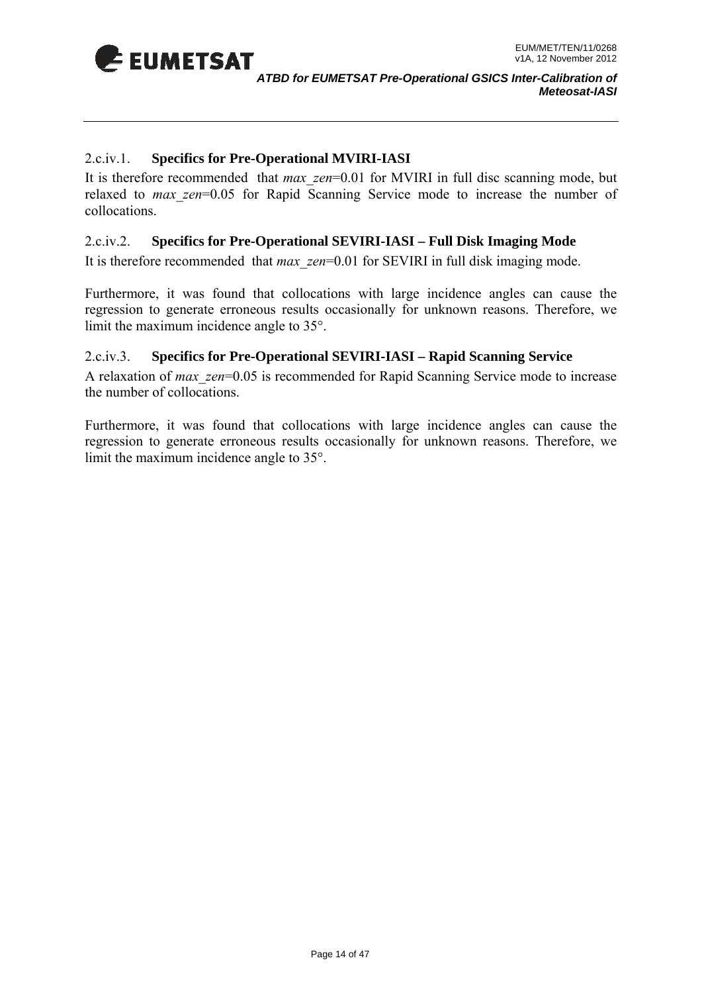

#### 2.c.iv.1. **Specifics for Pre-Operational MVIRI-IASI**

It is therefore recommended that *max* zen=0.01 for MVIRI in full disc scanning mode, but relaxed to *max zen*=0.05 for Rapid Scanning Service mode to increase the number of collocations.

#### 2.c.iv.2. **Specifics for Pre-Operational SEVIRI-IASI – Full Disk Imaging Mode**

It is therefore recommended that *max\_zen*=0.01 for SEVIRI in full disk imaging mode.

Furthermore, it was found that collocations with large incidence angles can cause the regression to generate erroneous results occasionally for unknown reasons. Therefore, we limit the maximum incidence angle to 35°.

#### 2.c.iv.3. **Specifics for Pre-Operational SEVIRI-IASI – Rapid Scanning Service**

A relaxation of *max\_zen*=0.05 is recommended for Rapid Scanning Service mode to increase the number of collocations.

Furthermore, it was found that collocations with large incidence angles can cause the regression to generate erroneous results occasionally for unknown reasons. Therefore, we limit the maximum incidence angle to 35°.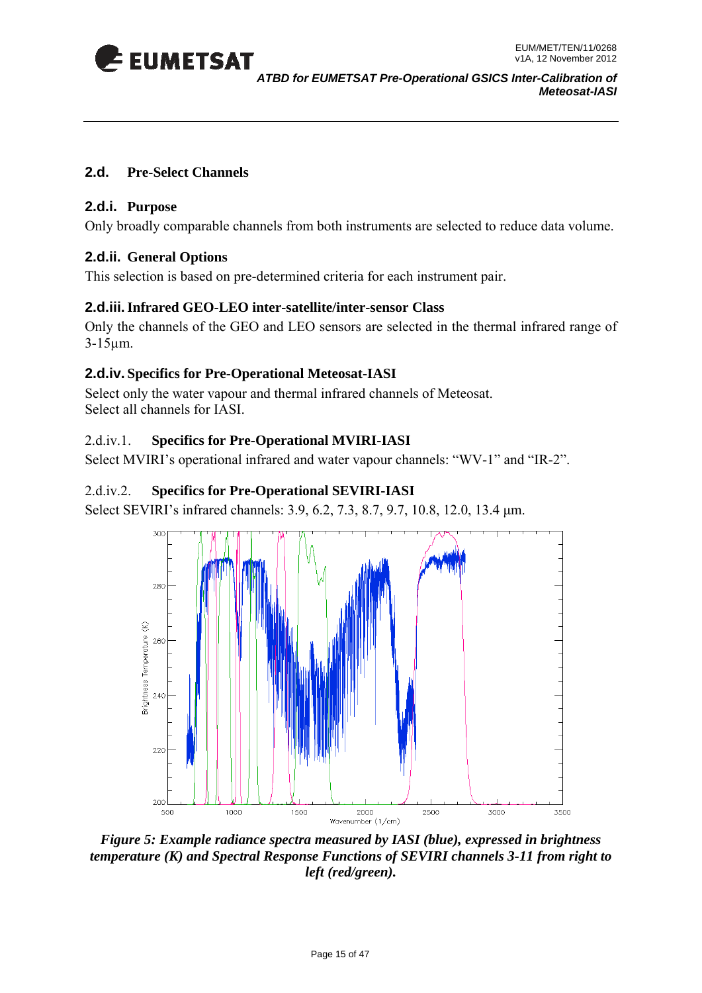<span id="page-14-0"></span>

#### **2.d. Pre-Select Channels**

#### **2.d.i. Purpose**

Only broadly comparable channels from both instruments are selected to reduce data volume.

#### **2.d.ii. General Options**

This selection is based on pre-determined criteria for each instrument pair.

#### **2.d.iii. Infrared GEO-LEO inter-satellite/inter-sensor Class**

Only the channels of the GEO and LEO sensors are selected in the thermal infrared range of 3-15µm.

#### **2.d.iv. Specifics for Pre-Operational Meteosat-IASI**

Select only the water vapour and thermal infrared channels of Meteosat. Select all channels for IASI.

#### 2.d.iv.1. **Specifics for Pre-Operational MVIRI-IASI**

Select MVIRI's operational infrared and water vapour channels: "WV-1" and "IR-2".

#### 2.d.iv.2. **Specifics for Pre-Operational SEVIRI-IASI**

Select SEVIRI's infrared channels: 3.9, 6.2, 7.3, 8.7, 9.7, 10.8, 12.0, 13.4 μm.



*Figure 5: Example radiance spectra measured by IASI (blue), expressed in brightness temperature (K) and Spectral Response Functions of SEVIRI channels 3-11 from right to left (red/green).*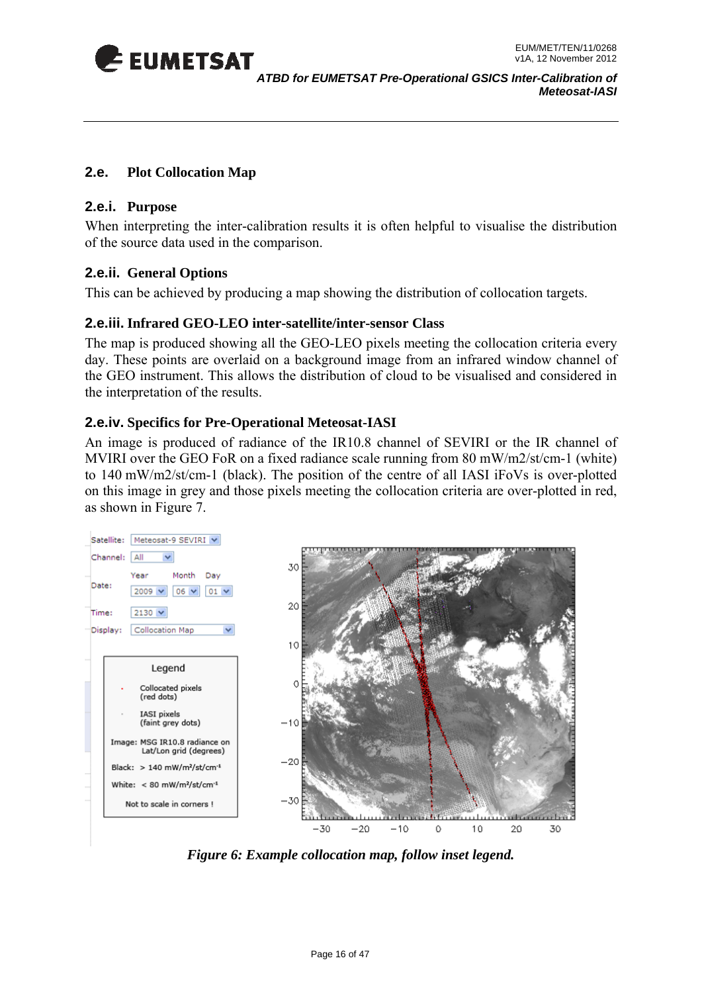<span id="page-15-0"></span>

#### **2.e. Plot Collocation Map**

#### **2.e.i. Purpose**

of the source data used in the comparison. When interpreting the inter-calibration results it is often helpful to visualise the distribution

#### **2.e.ii. General Options**

This can be achieved by producing a map showing the distribution of collocation targets.

#### **2.e.iii. Infrared GEO-LEO inter-satellite/inter-sensor Class**

The map is produced showing all the GEO-LEO pixels meeting the collocation criteria every day. These points are overlaid on a background image from an infrared window channel of the GEO instrument. This allows the distribution of cloud to be visualised and considered in the interpretation of the results.

#### **2.e.iv. Specifics for Pre-Operational Meteosat-IASI**

An image is produced of radiance of the IR10.8 channel of SEVIRI or the IR channel of MVIRI over the GEO FoR on a fixed radiance scale running from 80 mW/m2/st/cm-1 (white) to 140 mW/m2/st/cm-1 (black). The position of the centre of all IASI iFoVs is over-plotted on this image in grey and those pixels meeting the collocation criteria are over-plotted in red, as shown in Figure 7.



*Figure 6: Example collocation map, follow inset legend.*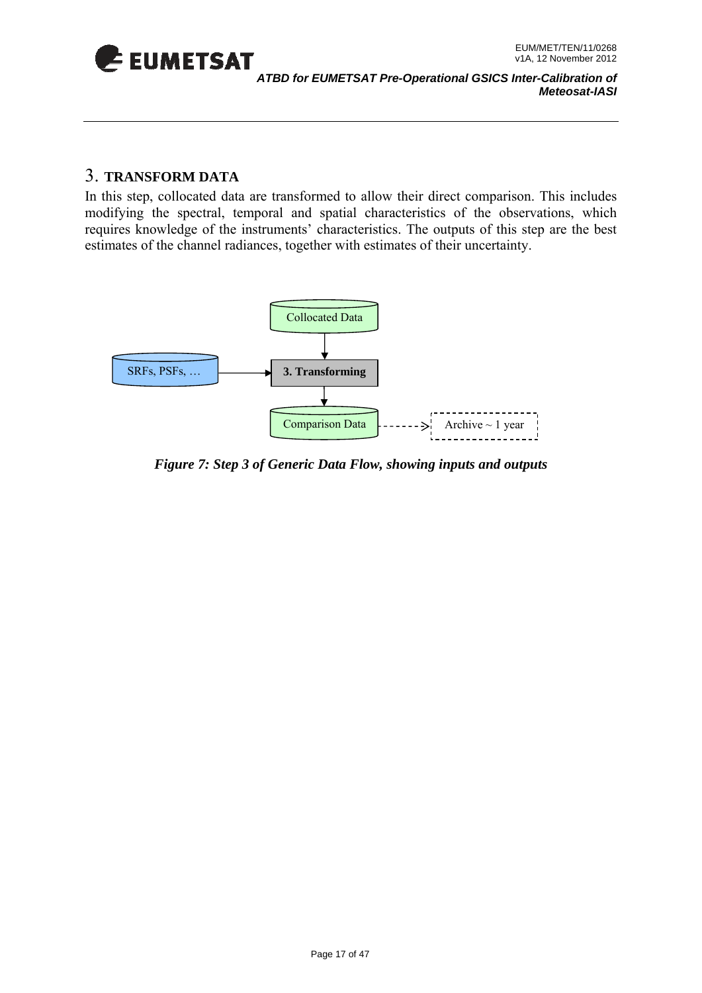<span id="page-16-0"></span>

#### 3. **TRANSFORM DATA**

In this step, collo cated data are transformed to allow their direct comparison. This includes modifying the s pectral, temporal and spatial characteristics of the observations, which estimates of the channel radiances, together with estimates of their uncertainty. requires knowledge of the instruments' characteristics. The outputs of this step are the best



*Figure 7: Step 3 of Generic Data Flow, showing inputs and outputs*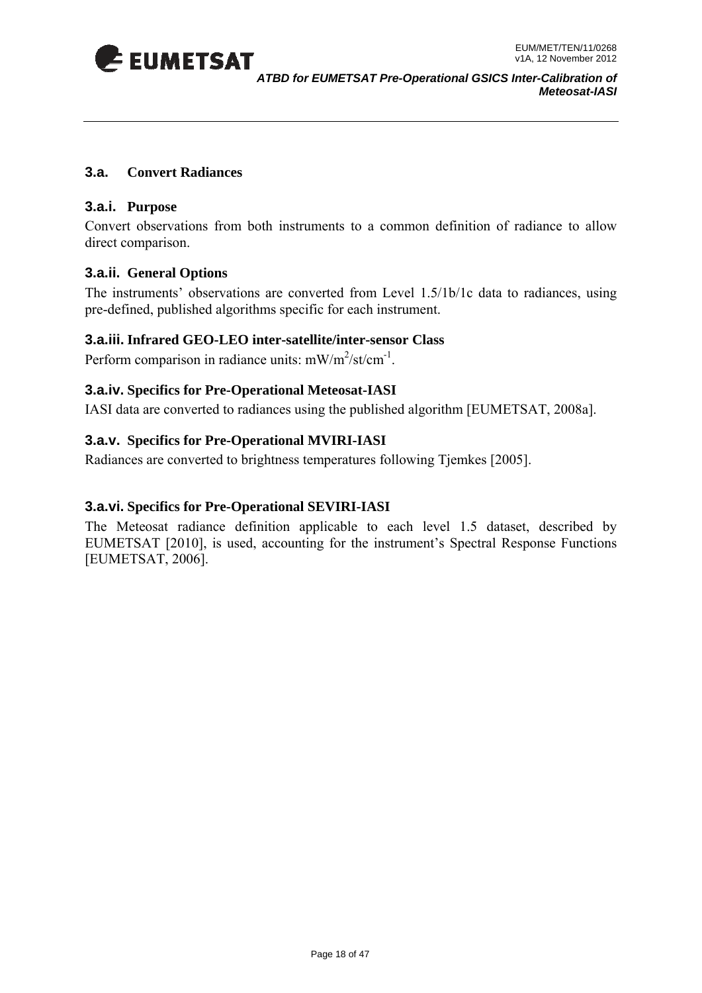<span id="page-17-0"></span>

#### **3.a. Convert Radiances**

#### **3.a.i. Purpose**

Convert observations from both instruments to a common definition of radiance to allow direct comparison.

#### **.a.ii. General Options 3**

The instruments' observations are converted from Level 1.5/1b/1c data to radiances, using pre-defined, published algorithms specific for each instrument.

#### **3.a.iii. Infrared GEO-LEO inter-satellite/inter-sensor Class**

Perform comparison in radiance units:  $mW/m^2$ /st/cm<sup>-1</sup>.

#### **3.a.iv. Specifics for Pre-Operational Meteosat-IASI**

IASI data are converted to radiances using the published algorithm [EUMETSAT, 2008a].

#### **3.a.v. Specifics for Pre-Operational MVIRI-IASI**

Radiances are converted to brightness temperatures following Tjemkes [2005].

#### **.a.vi. Specifics for Pre-Operational SEVIRI-IASI 3**

The Meteosat radiance definition applicable to each level 1.5 dataset, described by EUMETSAT [2010], is used, accounting for the instrument's Spectral Response Functions [EUMETSAT, 2006].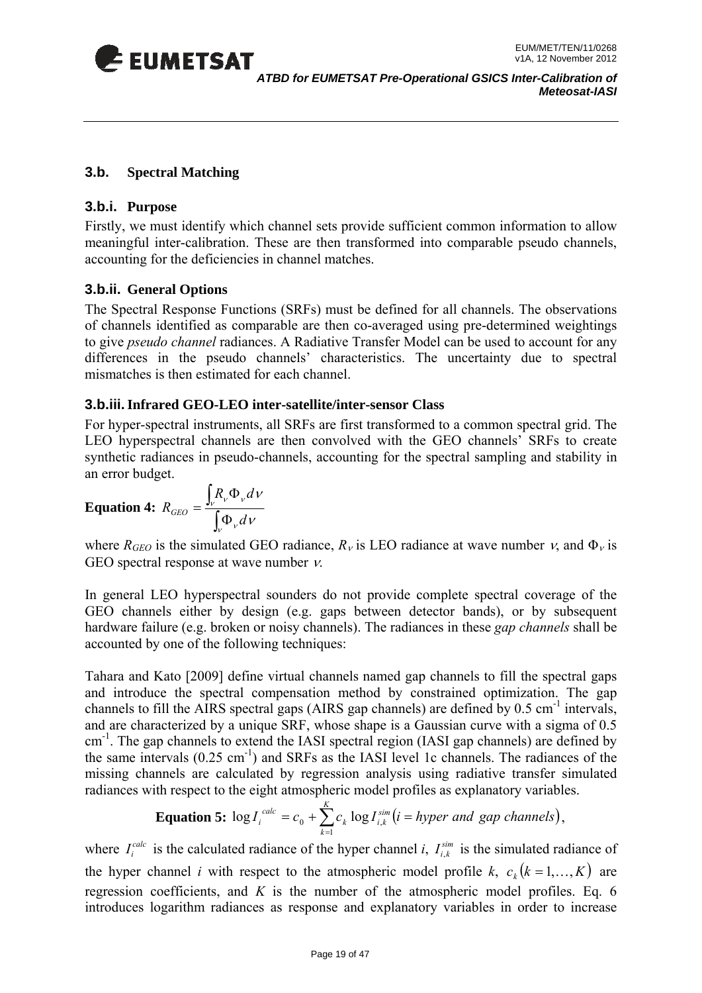<span id="page-18-0"></span>

#### **3.b. Spectral Matching**

#### **3.b.i. Purpose**

Firstly, we must identify which channel sets provide sufficient common information to allow meaningful inter-calibration. These are then transformed into comparable pseudo channels, accounting for the deficiencies in channel matches.

#### **3.b.ii. General Options**

The Spectral Response Functions (SRFs) must be defined for all channels. The observations of channels identified as comparable are then co-averaged using pre-determined weightings to give *pseudo channel* radiances. A Radiative Transfer Model can be used to account for any differences in the pseudo channels' characteristics. The uncertainty due to spectral mismatches is then estimated for each channel.

#### **3.b.iii. Infrared GEO-LEO inter-satellite/inter-sensor Class**

For hyper-spectral instruments, all SRFs are first transformed to a common spectral grid. The LEO hyperspectral channels are then convolved with the GEO channels' SRFs to create synthetic radiances in pseudo-channels, accounting for the spectral sampling and stability in an error budget.

$$
\textbf{Equation 4: } R_{GEO} = \frac{\int_{V} R_{V} \Phi_{V} dV}{\int_{V} \Phi_{V} dV}
$$

where  $R_{GEO}$  is the simulated GEO radiance,  $R_v$  is LEO radiance at wave number  $v$ , and  $\Phi_v$  is GEO spectral response at wave number  $\nu$ .

In general LEO hyperspectral sounders do not provide complete spectral coverage of the GEO channels either by design (e.g. gaps between detector bands), or by subsequent hardware failure (e.g. broken or noisy channels). The radiances in these *gap channels* shall be accounted by one of the following techniques:

Tahara and Kato [2009] define virtual channels named gap channels to fill the spectral gaps and introduce the spectral compensation method by constrained optimization. The gap channels to fill the AIRS spectral gaps (AIRS gap channels) are defined by  $0.5 \text{ cm}^{-1}$  intervals, and are characterized by a unique SRF, whose shape is a Gaussian curve with a sigma of 0.5 cm<sup>-1</sup>. The gap channels to extend the IASI spectral region (IASI gap channels) are defined by the same intervals  $(0.25 \text{ cm}^{-1})$  and SRFs as the IASI level 1c channels. The radiances of the missing channels are calculated by regression analysis using radiative transfer simulated radiances with respect to the eight atmospheric model profiles as explanatory variables.

**Equation 5:** 
$$
\log I_i^{calc} = c_0 + \sum_{k=1}^{K} c_k \log I_{i,k}^{sim} (i = \text{hyper and gap channels}),
$$

where  $I_i^{calc}$  is the calculated radiance of the hyper channel *i*,  $I_{i,k}^{sim}$  is the simulated radiance of the hyper channel *i* with respect to the atmospheric model profile *k*,  $c_k$  ( $k = 1,...,K$ ) are regression coefficients, and *K* is the number of the atmospheric model profiles. Eq. 6 introduces logarithm radiances as response and explanatory variables in order to increase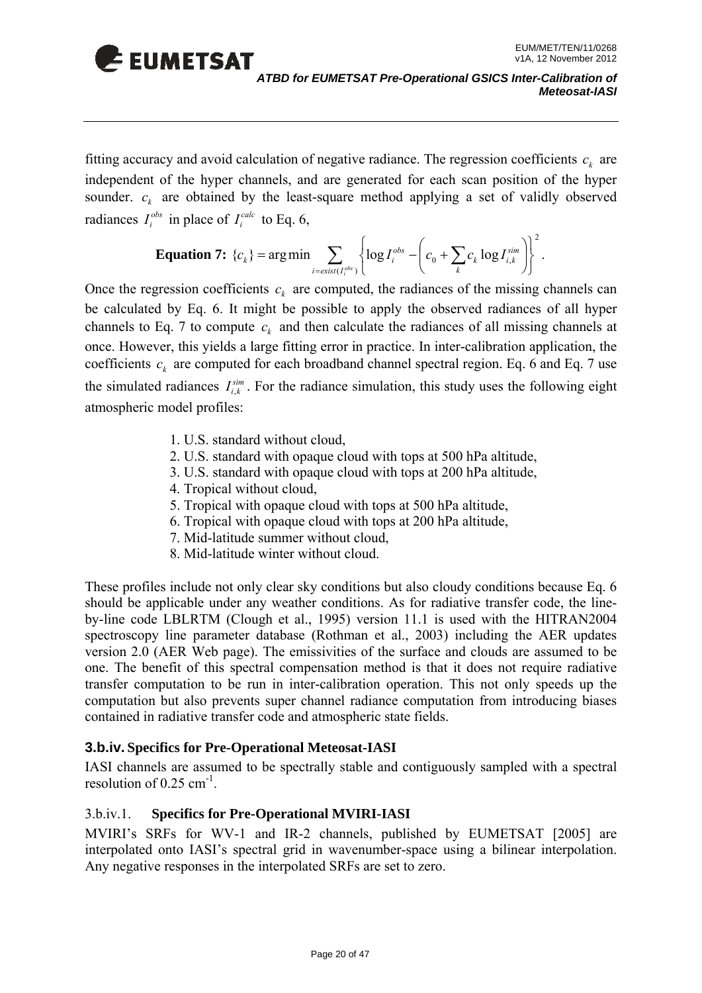

fitting accuracy and avoid calculation of negative radiance. The regression coefficients  $c_k$  are independent of the hyper channels, and are generated for each scan position of the hyper sounder.  $c_k$  are obtained by the least-square method applying a set of validly observed radiances  $I_i^{obs}$  in place of  $I_i^{calc}$  to Eq. 6,

**Equation 7:** 
$$
\{c_k\} = \arg\min_{i = exist(I_i^{obs})} \left\{ \log I_i^{obs} - \left(c_0 + \sum_k c_k \log I_{i,k}^{sim}\right) \right\}^2
$$
.

Once the regression coefficients  $c_k$  are computed, the radiances of the missing channels can the simulated radiances  $I_{i,k}^{sim}$ . For the radiance simulation, this study uses the following eight be calculated by Eq. 6. It might be possible to apply the observed radiances of all hyper channels to Eq. 7 to compute  $c_k$  and then calculate the radiances of all missing channels at once. However, this yields a large fitting error in practice. In inter-calibration application, the coefficients  $c_k$  are computed for each broadband channel spectral region. Eq. 6 and Eq. 7 use atmospheric model profiles:

- 1. U.S. standard without cloud,
- 2. U.S. standard with opaque cloud with tops at 500 hPa altitude,
- 3. U.S. standard with opaque cloud with tops at 200 hPa altitude,
- 4. Tropical without cloud,
- 5. Tropical with opaque cloud with tops at 500 hPa altitude,
- 6. Tropical with opaque cloud with tops at 200 hPa altitude,
- 7. Mid-latitude summer without cloud,
- 8. Mid-latitude winter without cloud.

version 2.0 (AER Web page). The emissivities of the surface and clouds are assumed to be These profiles include not only clear sky conditions but also cloudy conditions because Eq. 6 should be applicable under any weather conditions. As for radiative transfer code, the lineby-line code LBLRTM (Clough et al., 1995) version 11.1 is used with the HITRAN2004 spectroscopy line parameter database (Rothman et al., 2003) including the AER updates one. The benefit of this spectral compensation method is that it does not require radiative transfer computation to be run in inter-calibration operation. This not only speeds up the computation but also prevents super channel radiance computation from introducing biases contained in radiative transfer code and atmospheric state fields.

#### **3.b.iv. Specifics for Pre-Operational Meteosat-IASI**

IASI channels are assumed to be spectrally stable and contiguously sampled with a spectral resolution of  $0.25$  cm<sup>-1</sup>.

#### 3.b.iv.1. **Specifics for Pre-Operational MVIRI-IASI**

MVIRI's SRFs for WV-1 and IR-2 channels, published by EUMETSAT [2005] are interpolated onto IASI's spectral grid in wavenumber-space using a bilinear interpolation. Any negative responses in the interpolated SRFs are set to zero.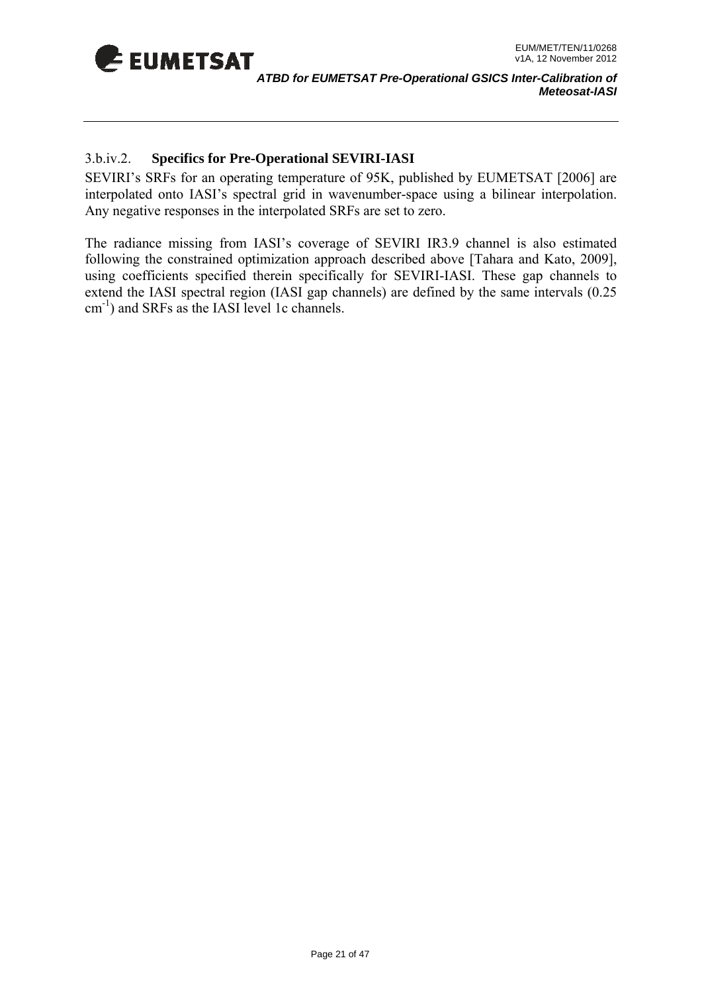

#### 3.b.iv.2. **Specifics for Pre-Operational SEVIRI-IASI**

SEVIRI's SRFs for an operating temperature of 95K, published by EUMETSAT [2006] are interpolated onto IASI's spectral grid in wavenumber-space using a bilinear interpolation. Any negative responses in the interpolate d SRFs are set to zero.

The radiance missing from IASI's coverage of SEVIRI IR3.9 channel is also estimated following the constrained optimization approach described above [Tahara and Kato, 2009], using coefficients specified therein specifically for SEVIRI-IASI. These gap channels to extend the IASI spectral region (IASI gap channels) are defined by the same intervals (0.25  $\text{cm}^{-1}$ ) and SRFs as the IASI level 1c channels.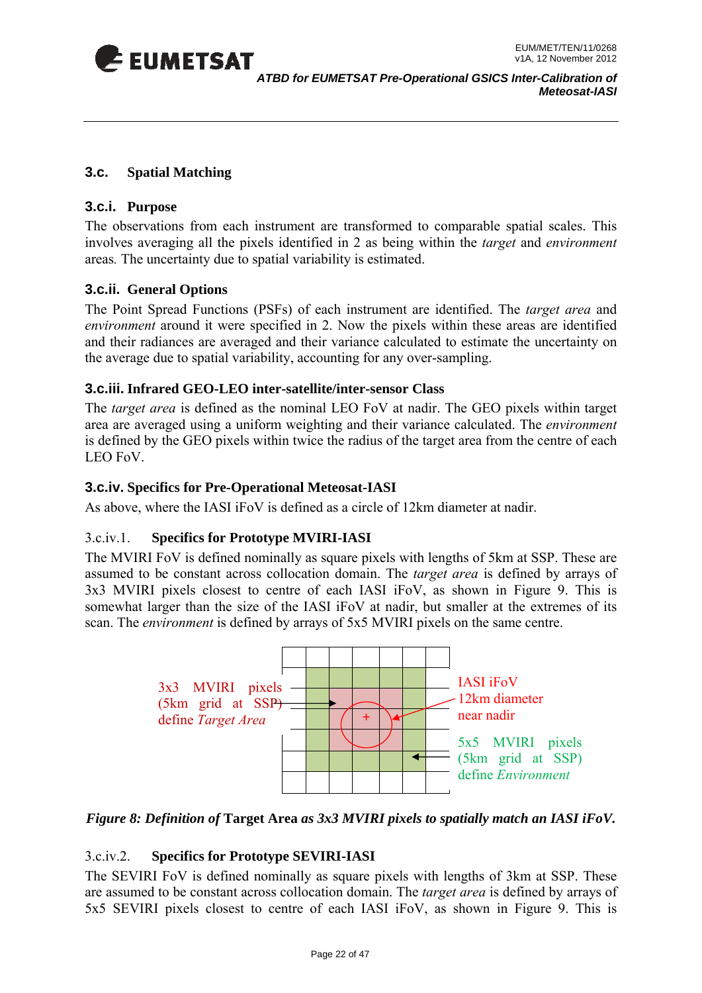<span id="page-21-0"></span>

#### **3.c. Spatial Matching**

#### **3.c.i. Purpose**

The observations from each instrument are transformed to comparable spatial scales. This involves averaging all the pixels identified in 2 as being within the *target* and *environment*  areas*.* The uncertainty due to spatial variability is estimated.

#### **3.c.ii. General Options**

The Point Spread Functions (PSFs) of each instrument are identified. The *target area* and *environment* around it were specified in 2. Now the pixels within these areas are identified and their radiances are averaged and their variance calculated to estimate the uncertainty on the average due to spatial variability, accounting for any over-sampling.

#### **3.c.iii. Infrared GEO-LEO inter-satellite/inter-sensor Class**

The *target area* is defined as the nominal LEO FoV at nadir. The GEO pixels within target area are averaged using a uniform weighting and their variance calculated. The *environment* is defined by the GEO pixels within twice the radius of the target area from the centre of each LEO FoV.

#### **3.c.iv. Specifics for Pre-Operational Meteosat-IASI**

As above, where the IASI iFoV is defined as a circle of 12km diameter at nadir.

#### 3.c.iv.1. **Specifics for Prototype MVIRI-IASI**

The MVIRI FoV is defined nominally as square pixels with lengths of 5km at SSP. These are assumed to be constant across collocation domain. The *target area* is defined by arrays of 3x3 MVIRI pixels closest to centre of each IASI iFoV, as shown in Figure 9. This is somewhat larger than the size of the IASI iFoV at nadir, but smaller at the extremes of its scan. The *environment* is defined by arrays of 5x5 MVIRI pixels on the same centre.



#### *Figure 8: Definition of* **Target Area** *as 3x3 MVIRI pixels to spatially match an IASI iFoV.*

#### 3.c.iv.2. **Specifics for Prototype SEVIRI-IASI**

The SEVIRI FoV is defined nominally as square pixels with lengths of 3km at SSP. These are assumed to be constant across collocation domain. The *target area* is defined by arrays of 5x5 SEVIRI pixels closest to centre of each IASI iFoV, as shown in Figure 9. This is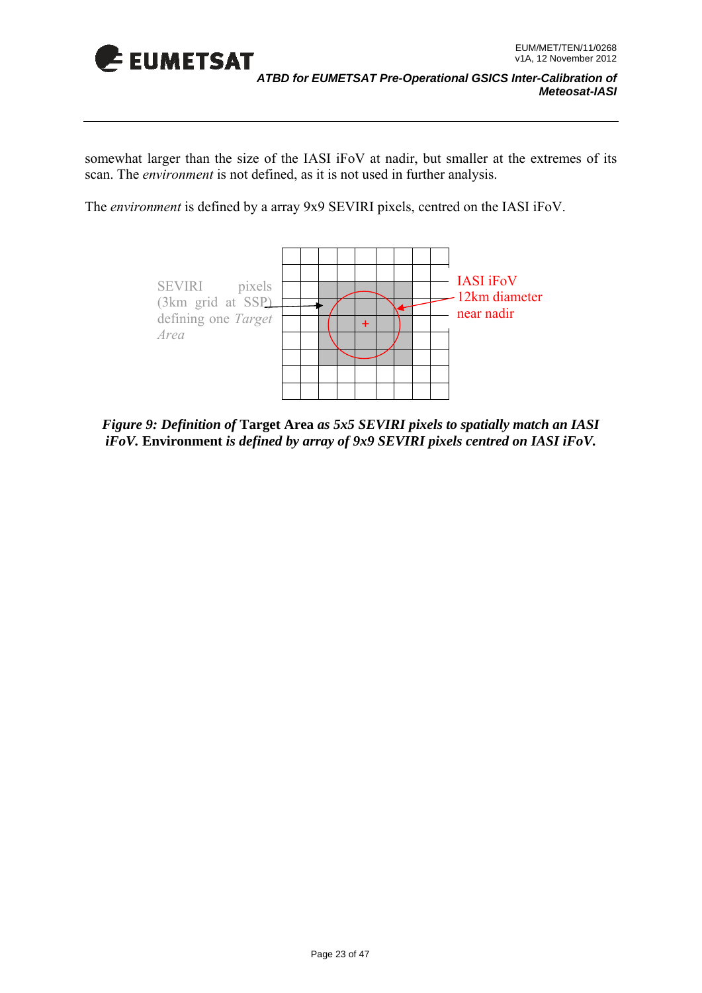

somewhat larger than the size of the IASI iFoV at nadir, but smaller at the extremes of its scan. The *environment* is not defined, as it is not used in further analysis.

The *environment* is defined by a array 9x9 SEVIRI pixels, centred on the IASI iFoV.



*Figure 9: Definition of* **Target Area** *as 5x5 SEVIRI pixels to spatially match an IASI iFoV.* **Environment** *is defined by array of 9x9 SEVIRI pixels centred on IASI iFoV.*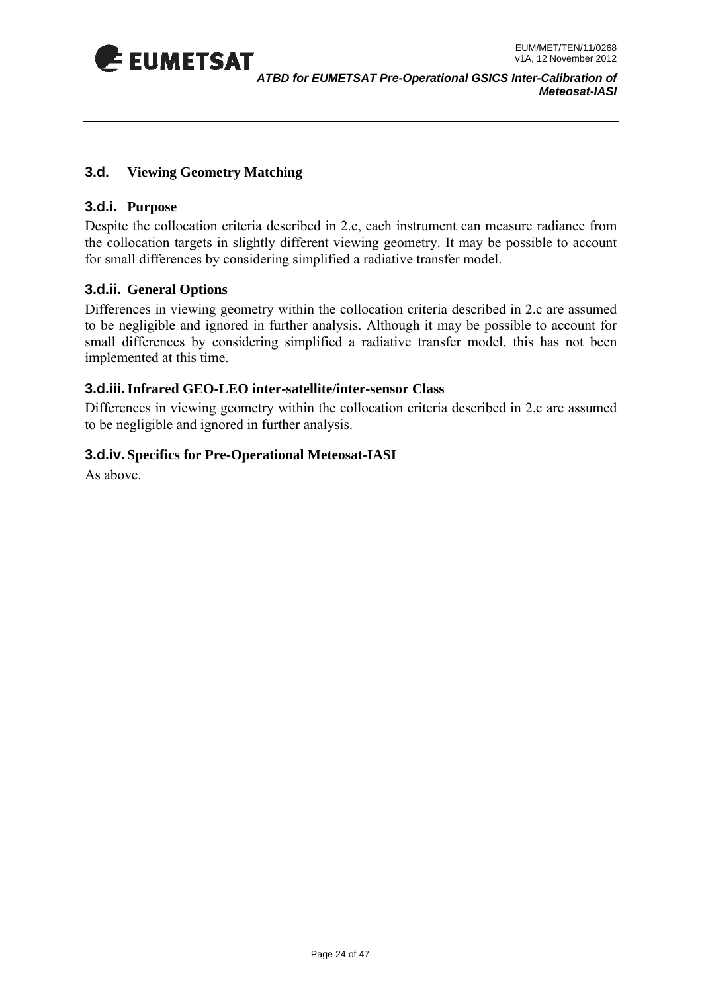<span id="page-23-0"></span>

#### **3.d. Viewing Geometry Matching**

#### **3.d.i. Purpose**

D espite the collocation criteria described in 2.c, each instrument can measure radiance from th e collocation targets in slightly different viewing geometry. It may be possible to account for small differences by considering simplified a radiative transfer model.

#### **3.d.ii. General Options**

Differences in viewing geometry within the collocation criteria described in 2.c are assumed to be negligible and ignored in further anal ysis. Although it may be pos sible to account for small differences by considering simplified a radiative transfer model, this has not been implemented at this time.

#### **3.d.iii. Infrared GEO-LEO inter-satellite/inter-sensor Class**

Differences in viewing geometry within the collocation criteria described in 2.c are assumed to be negligible and ignored in further analysis.

#### **3.d.iv. Specifics for Pre-Operational Meteosat-IASI**

As above.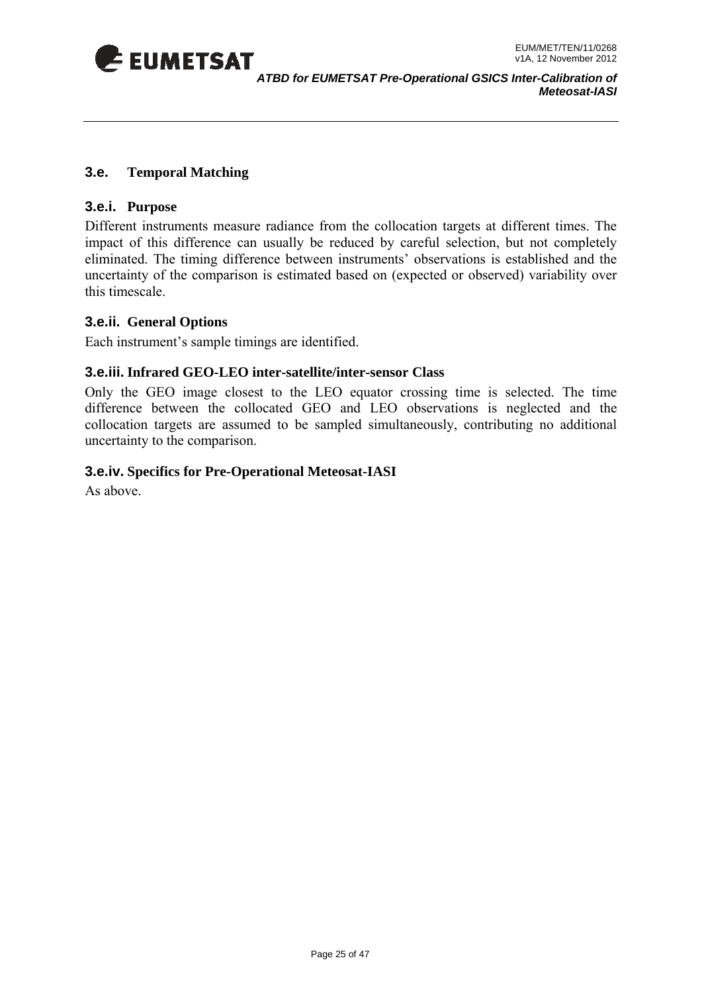<span id="page-24-0"></span>

#### **3.e. Temporal Matching**

#### **3.e.i. Purpose**

Different instruments measure radiance from the collocation targets at different times. The impact of this difference can usually be reduced by careful selection, but not completely eliminated. The timing difference between instruments' observations is established and the uncertainty of the comparison is estimated based on (expected or observed) variability over this timescale.

#### **3.e.ii. General Options**

Each instrument's sample timings are identified.

#### **3.e.iii. Infrared GEO-LEO inter-satellite/inter-sensor Class**

Only the GEO image closest to the LEO equator crossing time is selected. The time collocation targets are assumed to be sampled simultaneously, contributing no additional uncertainty to the comparison. difference between the collocated GEO and LEO observations is neglected and the

#### **cifics for Pre-Operational Meteosat-IASI 3.e.iv. Spe**

As above.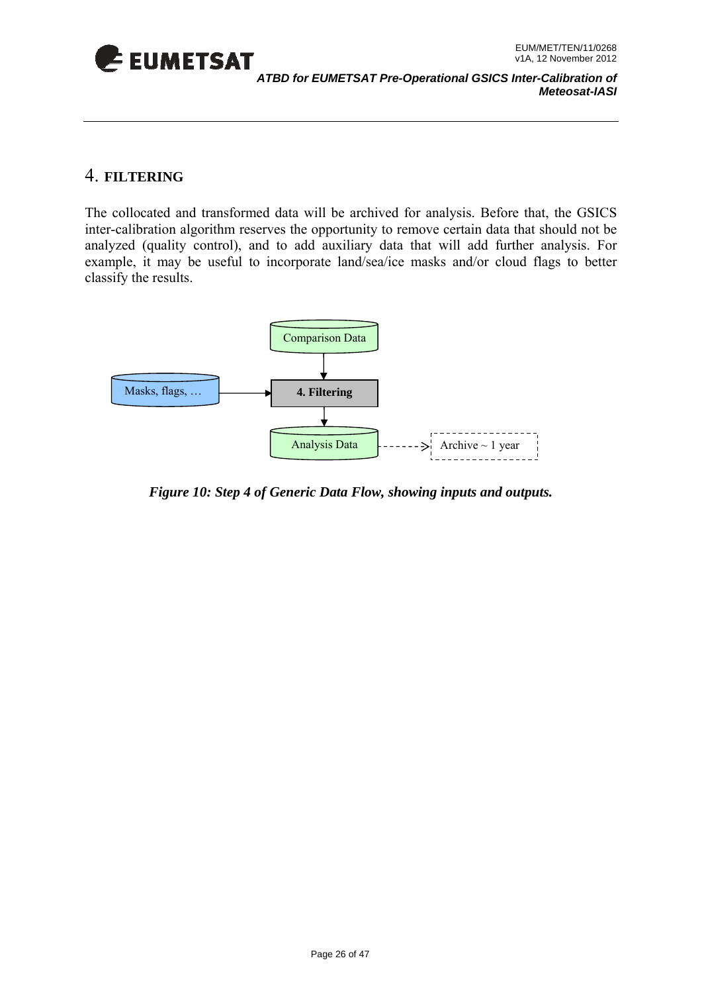<span id="page-25-0"></span>

### 4. **FILTERING**

The collocated and transformed data will be archived for analysis. Before that, the GSICS inter-calibration algorithm reserves the opportunity to remove certain data that should not be analyzed (quality control), and to add auxiliary data that will add further analysis. For example, it may be useful to incorporate land/sea/ice masks and/or cloud flags to better classify the results.



*Figure 10: Step 4 of Generic Data Flow, showing inputs and outputs.*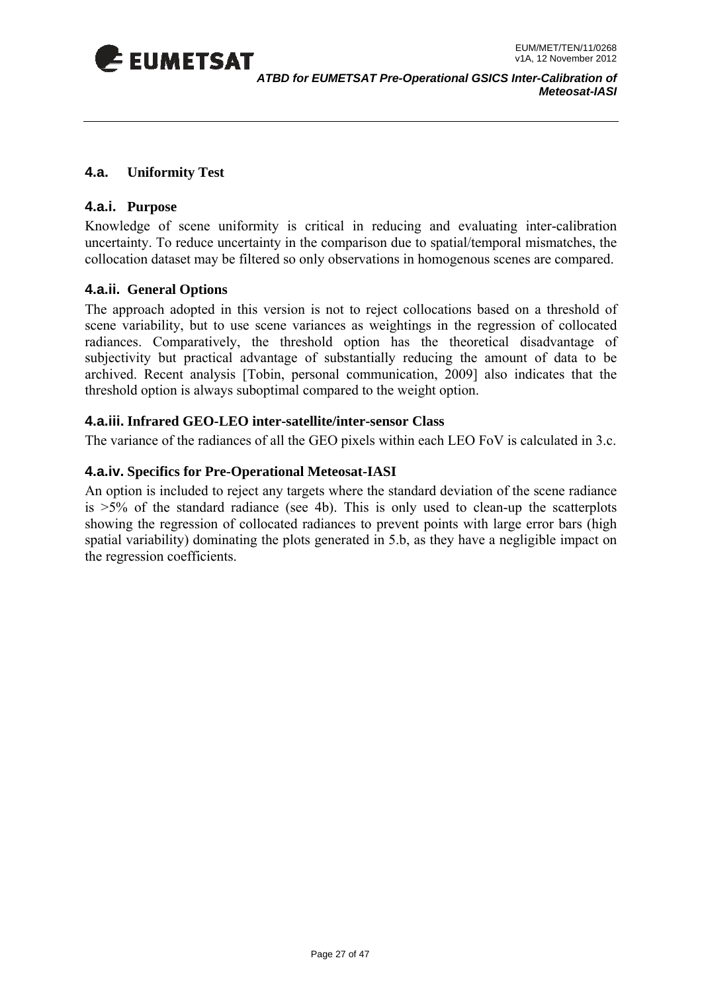<span id="page-26-0"></span>

#### **4.a. Uniformity Test**

#### **4.a.i. Purpose**

Knowledge of scene uniformity is critical in reducing and evaluating inter-calibration uncertainty. To reduce uncertainty in the comparison due to spatial/temporal mismatches, the collocation dataset may be filtered so only observations in homogenous scenes are compared.

#### **4.a.ii. General Options**

The approach adopted in this version is not to reject collocations based on a threshold of scene variability, but to use scene variances as weightings in the regression of collocated radiances. Comparatively, the threshold option has the theoretical disadvantage of subjectivity but practical advantage of substantially reducing the amount of data to be archived. Recent analysis [Tobin, personal communication, 2009] also indicates that the threshold option is always suboptimal compared to the weight option.

#### **4.a.iii. Infrared GEO-LEO inter-satellite/inter-sensor Class**

The variance of the radiances of all the GEO pixels within each LEO FoV is calculated in 3.c.

#### **4.a.iv. Specifics for Pre-Operational Meteosat-IASI**

An option is included to reject any targets where the standard deviation of the scene radiance is  $>5\%$  of the standard radiance (see 4b). This is only used to clean-up the scatterplots showing the regression of collocated radiances to prevent points with large error bars (high spatial variability) dominating the plots generated in 5.b, as they have a negligible impact on the regression coefficients.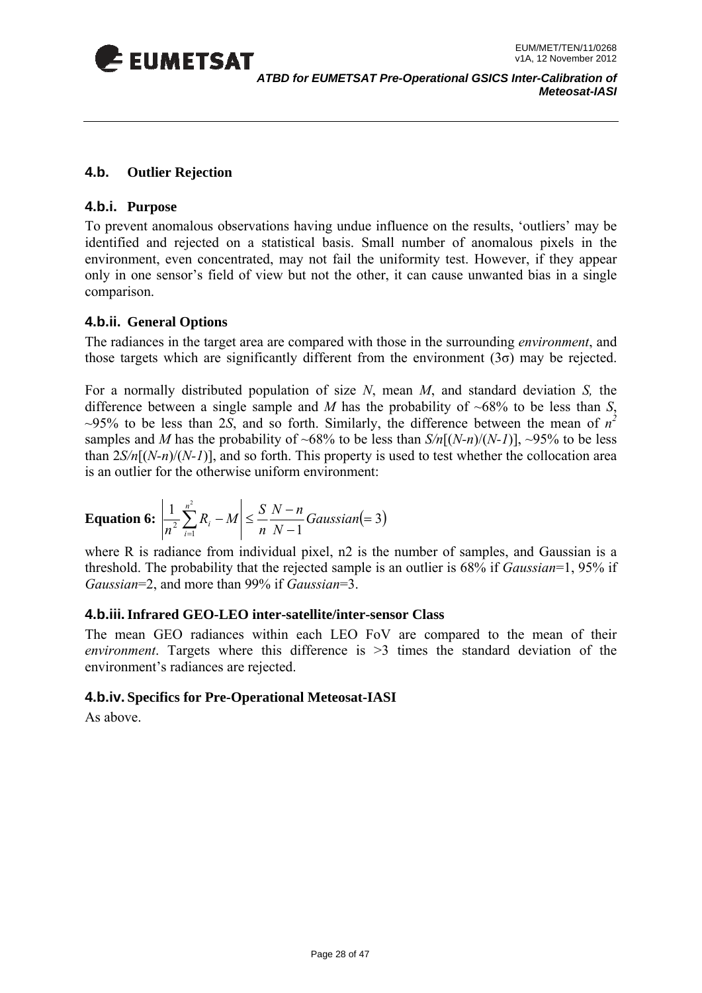<span id="page-27-0"></span>

#### **4.b. Outlier Rejection**

#### **4.b.i. Purpose**

only in one sensor's field of view but not the other, it can cause unwanted bias in a single To prevent anomalous observations having undue influence on the results, 'outliers' may be identified and rejected on a statistical basis. Small number of anomalous pixels in the environment, even concentrated, may not fail the uniformity test. However, if they appear comparison.

#### **4.b.ii. General Options**

The radiances in the target area are compared with those in the surrounding *environment*, and those targets which are significantly different from the environment  $(3\sigma)$  may be rejected.

For a normally distributed population of size  $N$ , mean  $M$ , and standard deviation  $S$ , the difference between a single sample and *M* has the probability of  $~68\%$  to be less than *S*,  $\sim$ 95% to be less than 2*S*, and so forth. Similarly, the difference between the mean of  $n^2$ than 2*S/n*[(*N-n*)/(*N-1*)], and so forth. This property is used to test whether the collocation area samples and *M* has the probability of ~68% to be less than  $S/n[(N-n)/(N-1)]$ , ~95% to be less is an outlier for the otherwise uniform environment:

**Equation 6:** 
$$
\left| \frac{1}{n^2} \sum_{i=1}^{n^2} R_i - M \right| \le \frac{S}{n} \frac{N-n}{N-1} Gaussian(=3)
$$

where R is radiance from individual pixel, n2 is the number of samples, and Gaussian is a threshold. The probability that the rejected sample is an outlier is 68% if *Gaussian*=1, 95% if Gaussian=2, and more than 99% if *Gaussian*=3.

#### **Infrared GEO-LEO inter-satellite/inter-sensor Class 4.b.iii.**

The mean GEO radiances within each LEO FoV are compared to the mean of their *environment*. Targets where this difference is >3 times the standard deviation of the environment's radiances are rejected.

#### **4.b.iv. Specifics for Pre-Operational Meteosat-IASI**

As above.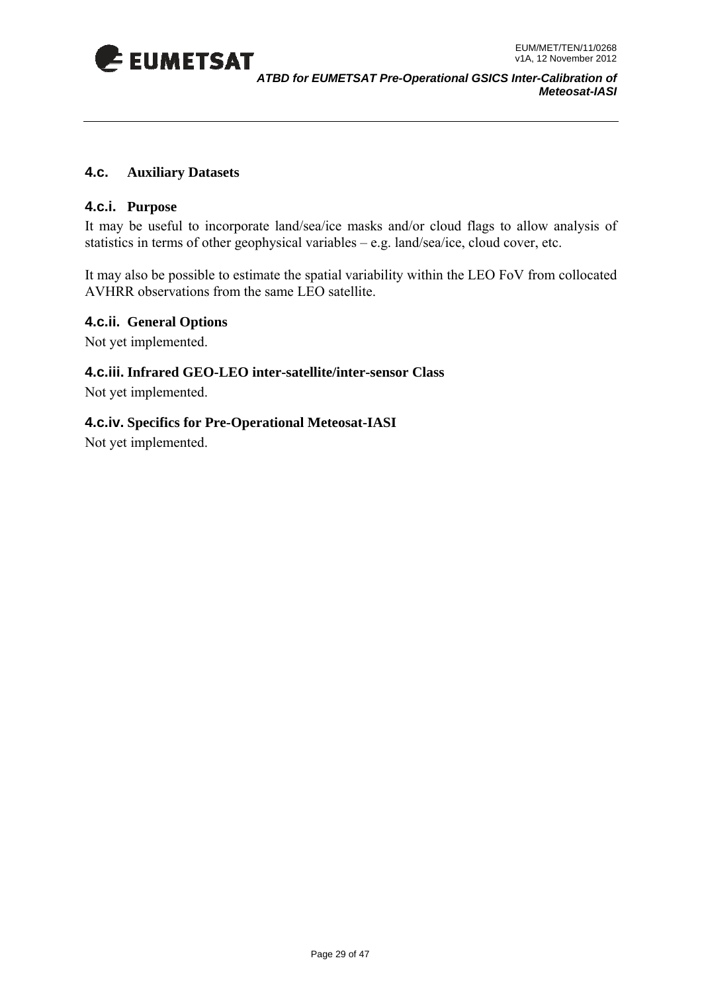<span id="page-28-0"></span>

#### **4.c. Auxiliary Datasets**

#### **4.c.i. Purpose**

It may be useful to incorporate land/sea/ice masks and/or cloud flags to allow analysis of statistics in terms of other geophysical variables – e.g. land/sea/ice, cloud cover, etc.

AVHRR observations from the same LEO satellite. It may also be possible to estimate the spatial variability within the LEO FoV from collocated

#### **4.c.ii. General Options**

Not yet implemented.

#### **.c.iii. Infrared GEO-LEO inter-satellite/inter-sensor Class 4**

Not yet implemented.

#### **4.c.iv. Specifics for Pre-Operational Meteosat-IASI**

Not yet implemented.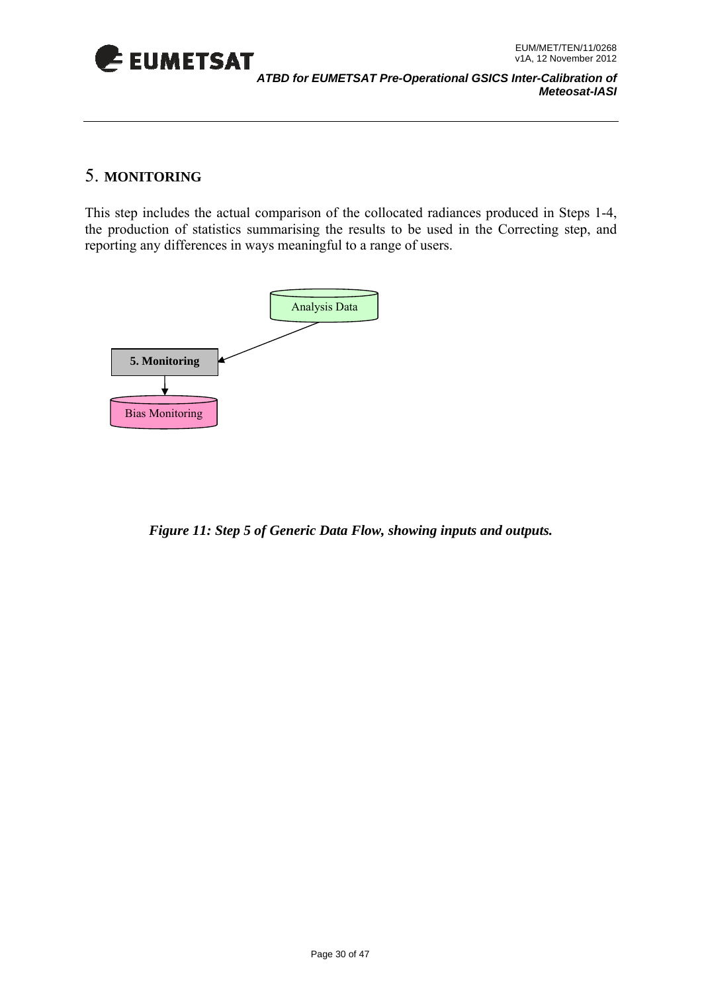<span id="page-29-0"></span>

### 5. **MONITORING**

This step includes the actual comparison of the collocated radiances produced in Steps 1-4, the production of statistics summarising the results to be used in the Correcting step, and reporting any differences in ways meaningful to a range of users.



*Figure 11: Step 5 of Generic Data Flow, showing inputs and outputs.*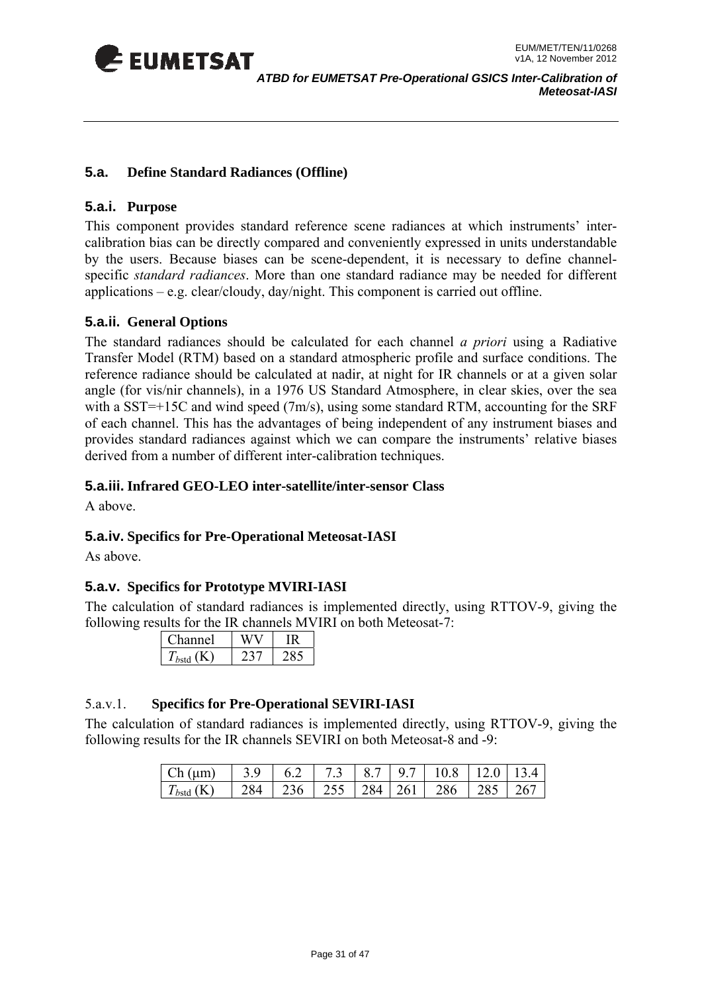<span id="page-30-0"></span>

#### **5.a. Define Standard Radiances (Offline)**

#### **5.a.i. Purpose**

calibration bias can be directly compared and conveniently expressed in units understandable by the users. Because biases can be scene-dependent, it is necessary to define channelspecific *standard radiances*. More than one standard radiance may be needed for different applications – e.g. clear/cloudy, day/night. This component is carried out offline. This component provides standard reference scene radiances at which instruments' inter-

#### **5.a.ii. General Options**

The standard radiances should be calculated for each channel *a priori* using a Radiative Transfer Model (RTM) based on a standard atmospheric profile and surface conditions. The reference radiance should be calculated at nadir, at night for IR channels or at a given solar angle (for vis/nir channels), in a 1976 US Standard Atmosphere, in clear skies, over the sea with a SST= $+15C$  and wind speed (7m/s), using some standard RTM, accounting for the SRF of each channel. This has the advantages of being independent of any instrument biases and provides standard radiances against which we can compare the instruments' relative biases derived from a number of different inter-calibration techniques.

#### **5.a.iii. Infrared GEO-LEO inter-satellite/inter-sensor Class**

A above.

#### **5.a.iv. Spe cifics for Pre-Operational Meteosat-IASI**

As above.

#### **5.a.v. Specifics for Prototype MVIRI-IASI**

The calculation of standard radiances is implemented directly, using RTTOV-9, giving the following results for the IR channels MVIRI on both Meteosat-7:

| annel |  |
|-------|--|
|       |  |

#### 5.a.v.1. **Specifics for Pre-Operational SEVIRI-IASI**

The calculation of standard radiances is implemented directly, using RTTOV-9, giving the following results for the IR channels SEVIRI on both Meteosat-8 and -9:

| $Ch(\mu m)$    |  |  |                                               |  |
|----------------|--|--|-----------------------------------------------|--|
| $T_{bstd}$ (K) |  |  | 284   236   255   284   261   286   285   267 |  |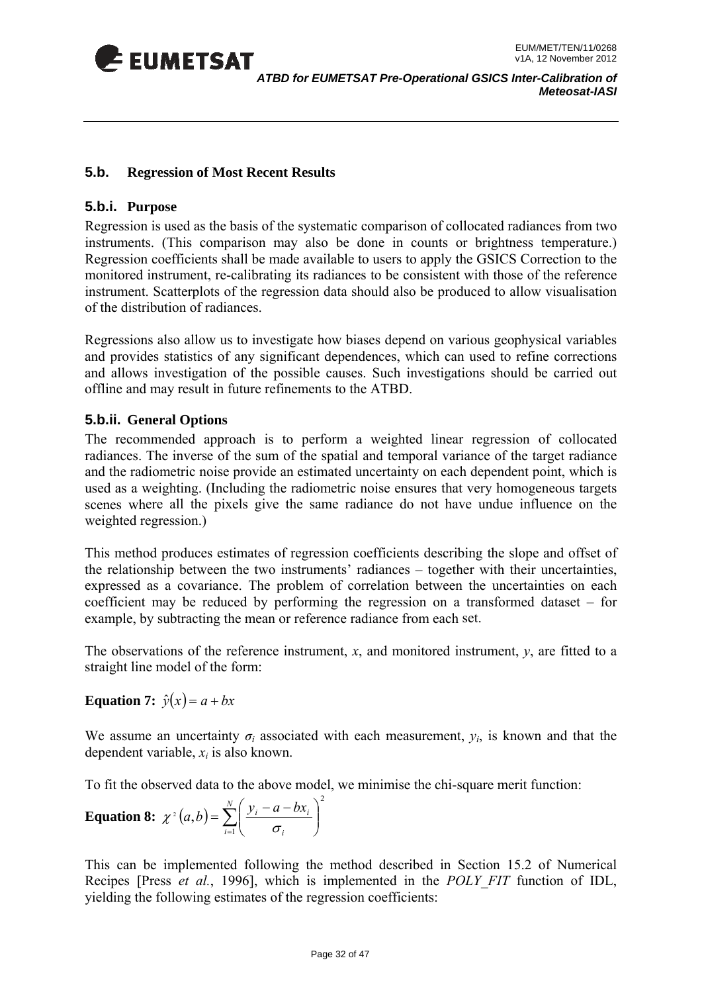<span id="page-31-0"></span>

#### **5.b. Regression of Most Recent Results**

#### **5.b.i. Purpose**

Regression is used as the basis of the systematic comparison of collocated radiances from two instruments. (This comparison may also be done in counts or brightness temperature.) Regression coefficients shall be made available to users to apply the GSICS Correction to the monitored instrument, re-calibrating its radiances to be consistent with those of the reference instrument. Scatterplots of the regression data should also be produced to allow visualisation of the distribution of radiances.

Regressions also allow us to investigate how biases depend on various geophysical variables and provides statistics of any significant dependences, which can used to refine corrections and allows investigation of the possible causes. Such investigations should be carried out offline and may result in future refinements to the ATBD.

#### **5.b.ii. General Options**

radiances. The inverse of the sum of the spatial and temporal variance of the target radiance and the radiometric noise provide an estimated uncertainty on each dependent point, which is used as a weighting. (Including the radiometric noise ensures that very homogeneous targets scenes where all the pixels give the same radiance do not have undue influence on the weighted regression.) The recommended approach is to perform a weighted linear regression of collocated

This method produces estimates of regression coefficients describing the slope and offset of the relationship between the two instruments' radiances – together with their uncertainties, expressed as a covariance. The problem of correlation between the uncertainties on each example, by subtracting the mean or reference radiance from each set. coefficient may be reduced by performing the regression on a transformed dataset – for

The observations of the reference instrument, *x*, and monitored instrument, *y*, are fitted to a straight line model of the form:

**Equation 7:**  $\hat{y}(x) = a + bx$ 

We assume an uncertainty  $\sigma_i$  associated with each measurement,  $y_i$ , is known and that the dependent variable,  $x_i$  is also known.

To fit the observed data to the above model, we minimise the chi-square merit function:

**Equation 8:** 
$$
\chi^2(a,b) = \sum_{i=1}^N \left( \frac{y_i - a - bx_i}{\sigma_i} \right)^2
$$

This can be implemented following the method described in Section 15.2 of Numerical Recipes [Press *et al.*, 1996], which is implemented in the *POLY\_FIT* function of IDL, yielding the following estimates of the regression coefficients: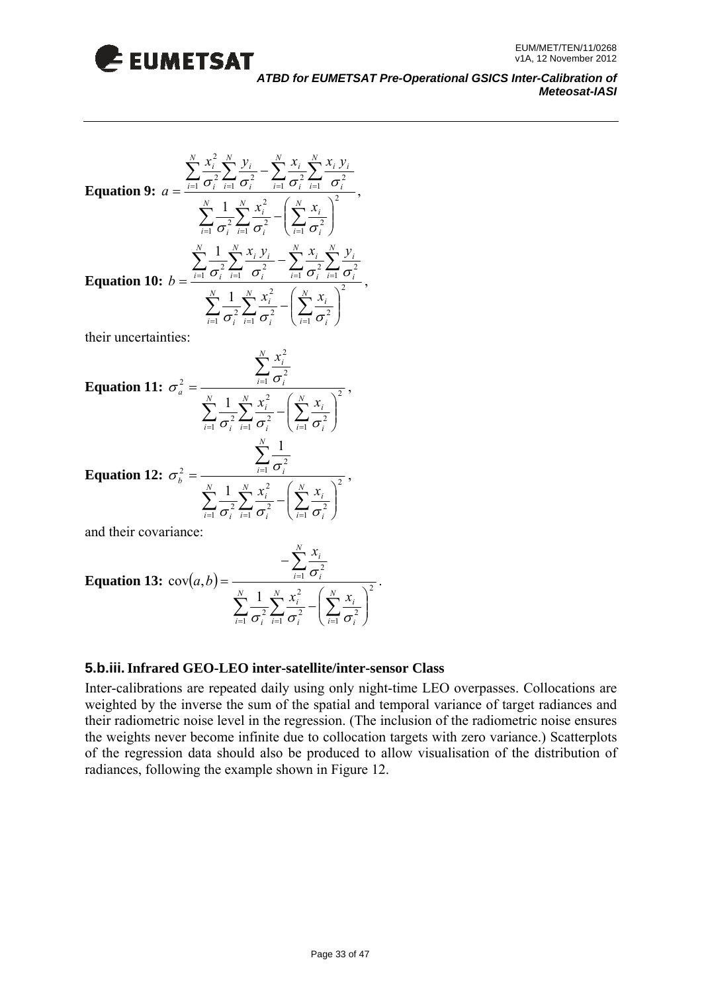

Equation 9: 
$$
a = \frac{\sum_{i=1}^{N} \frac{x_i^2}{\sigma_i^2} \sum_{i=1}^{N} \frac{y_i}{\sigma_i^2} - \sum_{i=1}^{N} \frac{x_i}{\sigma_i^2} \sum_{i=1}^{N} \frac{x_i}{\sigma_i^2}}{\sigma_i^2}
$$

$$
\sum_{i=1}^{N} \frac{1}{\sigma_i^2} \sum_{i=1}^{N} \frac{x_i^2}{\sigma_i^2} - \left(\sum_{i=1}^{N} \frac{x_i}{\sigma_i^2}\right)^2
$$
  
Equation 10: 
$$
b = \frac{\sum_{i=1}^{N} \frac{1}{\sigma_i^2} \sum_{i=1}^{N} \frac{x_i}{\sigma_i^2} - \sum_{i=1}^{N} \frac{x_i}{\sigma_i^2} \sum_{i=1}^{N} \frac{y_i}{\sigma_i^2}}{\sigma_i^2}
$$

their uncertainties:

Equation 11: 
$$
\sigma_a^2 = \frac{\sum_{i=1}^N \frac{x_i^2}{\sigma_i^2}}{\sum_{i=1}^N \frac{1}{\sigma_i^2} \sum_{i=1}^N \frac{x_i^2}{\sigma_i^2} - \left(\sum_{i=1}^N \frac{x_i}{\sigma_i^2}\right)^2}
$$
,  
\nEquation 12:  $\sigma_b^2 = \frac{\sum_{i=1}^N \frac{1}{\sigma_i^2}}{\sum_{i=1}^N \frac{1}{\sigma_i^2} \left(\sum_{i=1}^N x_i\right)^2}$ ,

 $\frac{1}{2}\sigma_i^2 \stackrel{\textstyle\sum}{=} \sigma_i^2 \quad \Bigl(\stackrel{\textstyle\sum}{=} \sigma_i^2$  $\overline{\phantom{a}}$ ⎠  $\overline{\phantom{a}}$ ⎝  $\sum_{i=1}^{\infty}\frac{1}{\sigma_i^2}\sum_{i=1}^{\infty}\frac{x_i}{\sigma_i^2}-\left(\sum_{i=1}\frac{x_i}{\sigma_i}\right)$ *i*  $i=1$   $\boldsymbol{O}_i$ *i*  $i=1$   $\boldsymbol{O}_i$  $\sigma$ <sub>r</sub>  $\sigma$   $\frac{1}{\sigma}$ 

*N*

and their covariance:

**Equation 13:** 
$$
\text{cov}(a, b) = \frac{-\sum_{i=1}^{N} \frac{x_i}{\sigma_i^2}}{\sum_{i=1}^{N} \frac{1}{\sigma_i^2} \sum_{i=1}^{N} \frac{x_i^2}{\sigma_i^2} - \left(\sum_{i=1}^{N} \frac{x_i}{\sigma_i^2}\right)^2}.
$$

#### **5.b.iii. Infrared GEO-LEO inter-satellite/inter-sensor Class**

Inter-calibrations are repeated daily using only night-time LEO overpasses. Collocations are weighted by the inverse the sum of the spatial and temporal variance of target radiances and their radiometric noise level in the regression. (The inclusion of the radiometric noise ensures of the regression data should also be produced to allow visualisation of the distribution of radiances, following the example shown in Figure 12. the weights never become infinite due to collocation targets with zero variance.) Scatterplots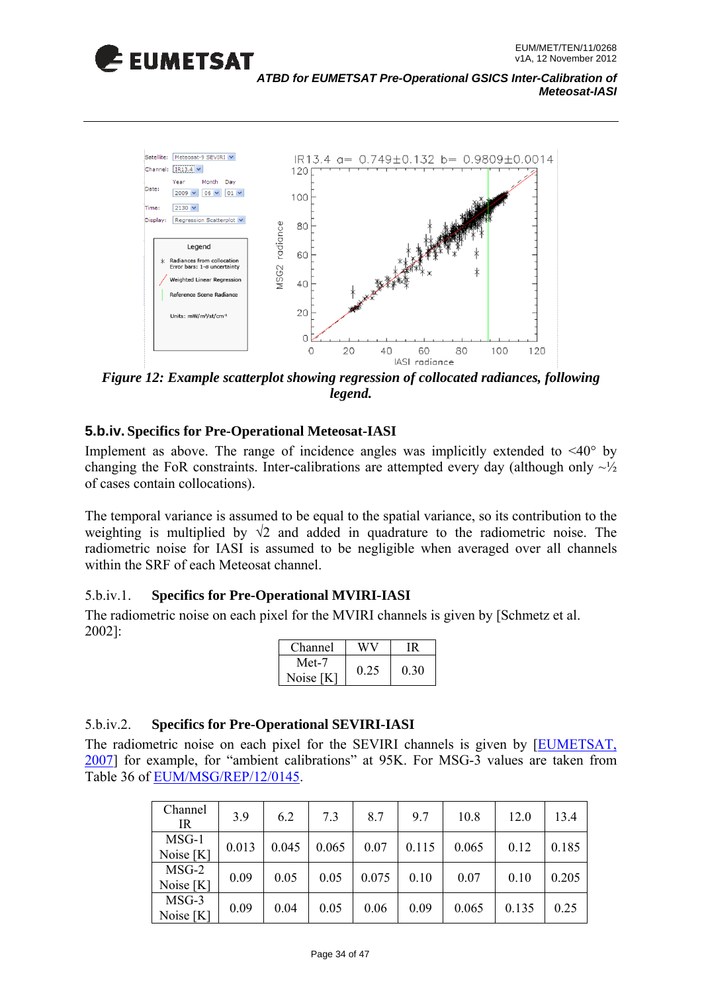



*Figure 12: Example scatterplot showing regression of collocated radiances, following legend.* 

#### **5.b.iv. Specifics for Pre-Operational Meteosat-IASI**

Implement as above. The range of incidence angles was implicitly extended to  $\langle 40^\circ \text{ by }$ changing the FoR constraints. Inter-calibrations are attempted every day (although only  $\sim \frac{1}{2}$ ) of cases contain collocations).

The temporal variance is assumed to be equal to the spatial variance, so its contribution to the weighting is multiplied by  $\sqrt{2}$  and added in quadrature to the radiometric noise. The radiometric noise for IASI is assumed to be negligible when averaged over all channels within the SRF of each Meteosat channel.

#### 5.b.iv.1. **Specifics for Pre-Operational MVIRI-IASI**

The radiometric noise on each pixel for the MVIRI channels is given by [Schmetz et al. 002]: 2

| Channel   |      |      |
|-----------|------|------|
| Met-7     | 0.25 | 0.30 |
| Noise [K] |      |      |

#### 5.b.iv.2. **Specifics for Pre-Operational SEVIRI-IASI**

The radiometric noise on each pixel for the SEVIRI channels is given by [EUMETSAT, 2007] for example, for "ambient calibrations" at 95K. For MSG-3 values are taken from Table 36 of EUM/MSG/REP/12/0145.

| Channel<br>IR        | 3.9   | 6.2   | 7.3   | 8.7   | 9.7   | 10.8  | 12.0  | 13.4  |
|----------------------|-------|-------|-------|-------|-------|-------|-------|-------|
| MSG-1<br>Noise [K]   | 0.013 | 0.045 | 0.065 | 0.07  | 0.115 | 0.065 | 0.12  | 0.185 |
| $MSG-2$<br>Noise [K] | 0.09  | 0.05  | 0.05  | 0.075 | 0.10  | 0.07  | 0.10  | 0.205 |
| MSG-3<br>Noise [K]   | 0.09  | 0.04  | 0.05  | 0.06  | 0.09  | 0.065 | 0.135 | 0.25  |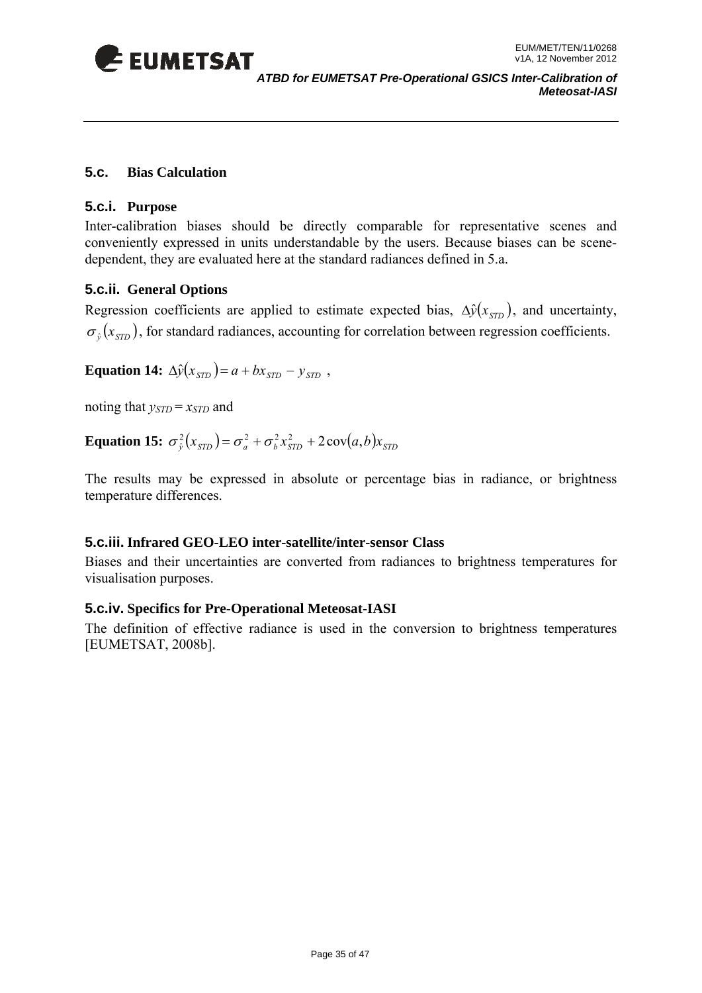<span id="page-34-0"></span>

#### **5.c. Bias Calculation**

#### **5.c.i. Purpose**

Inter-calibration biases should be directly comparable for representative scenes and conveniently expressed in units understandable by the users. Because biases can be scenedependent, they are evaluated here at the standard radiances defined in 5.a.

#### **5.c.ii. General Options**

Regression coefficients are applied to estimate expected bias,  $\Delta \hat{y}(x_{syn})$ , and uncertainty,  $\sigma_{\hat{p}}(x_{\text{spr}})$ , for standard radiances, accounting for correlation between regression coefficients.

**Equation 14:**  $\Delta \hat{y}(x_{\text{STD}}) = a + bx_{\text{STD}} - y_{\text{STD}}$ ,

noting that  $y_{STD} = x_{STD}$  and

**Equation 15:**  $\sigma_{\hat{v}}^2(x_{\text{STD}}) = \sigma_a^2 + \sigma_b^2 x_{\text{STD}}^2 + 2 \text{cov}(a, b)x_{\text{STD}}$ 

The results may be expressed in absolute or percentage bias in radiance, or brightness temperature differences.

#### **5.c.iii. Infrared GEO-LEO inter-satellite/inter-sensor Class**

Biases and their uncertainties are converted from radiances to brightness temperatures for visualisation purposes.

#### **5.c.iv. Specifics for Pre-Operational Meteosat-IASI**

The definition of effective radiance is used in the conversion to brightness temperatures [EUMETSAT, 2008b].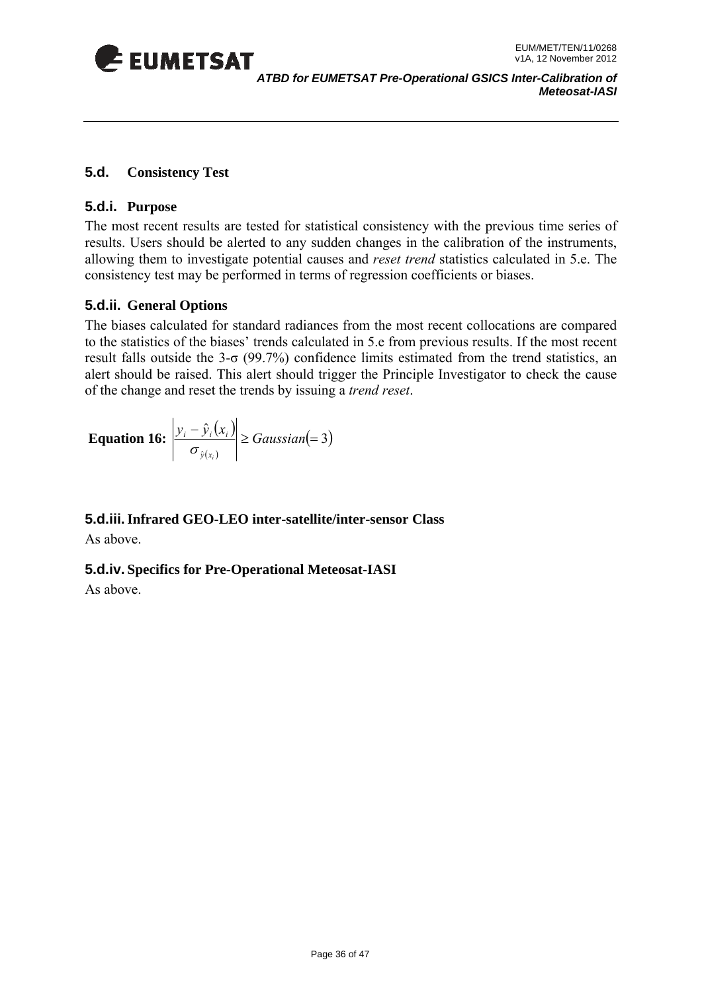<span id="page-35-0"></span>

#### **5.d. Consistency Test**

#### **5.d.i. Purpose**

The most recent results are tested for statistical consistency with the previous time series of results. Users should be alerted to any sudden changes in the calibration of the instruments, allowing them to investigate potential causes and *reset trend* statistics calculated in 5.e. The consistency test may be performed in terms of regression coefficients or biases.

#### **5.d.ii. General Options**

The biase s calculated for standard radiances from the most recent collocations are compared to the statistics of the biases' trends calculated in 5.e from previous results. If the most recent result falls outside the  $3-\sigma$  (99.7%) confidence limits estimated from the trend statistics, an alert should be raised. This alert should trigger the Principle Investigator to check the cause of the change and reset the trends by issuing a *trend reset*.

**Equation 16:** 
$$
\left| \frac{y_i - \hat{y}_i(x_i)}{\sigma_{\hat{y}(x_i)}} \right| \geq Gaussian(=3)
$$

**5.d.iii. Infrared GEO-LEO inter-satellite/inter-sensor Class**  As above.

**5.d.iv. Specifics for Pre-Operational Meteosat-IASI** 

As above.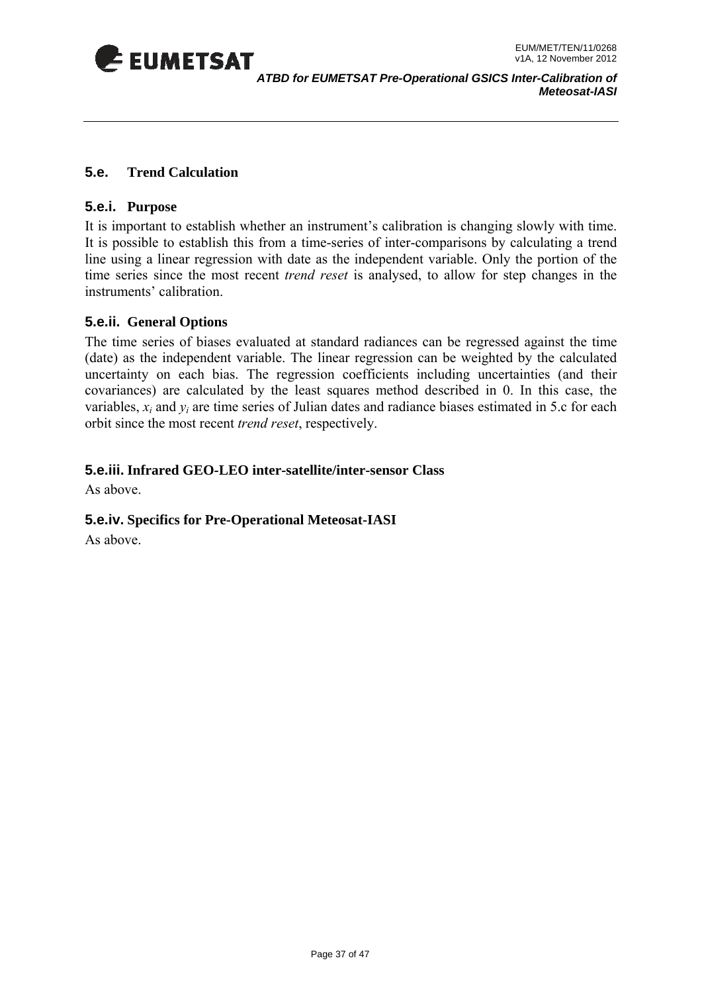<span id="page-36-0"></span>

#### **5.e. Trend Calculation**

#### **5.e.i. Purpose**

time series since the most recent *trend reset* is analysed, to allow for step changes in the instruments' calibration. It is important to establish whether an instrument's calibration is changing slowly with time. It is possible to establish this from a time-series of inter-comparisons by calculating a trend line using a linear regression with date as the independent variable. Only the portion of the

#### **5.e.ii. General Options**

covariances) are calculated by the least squares method described in 0. In this case, the variables,  $x_i$  and  $y_i$  are time series of Julian dates and radiance biases estimated in 5.c for each orbit since the most recent *trend reset*, respectively. The time series of biases evaluated at standard radiances can be regressed against the time (date) as the independent variable. The linear regression can be weighted by the calculated uncertainty on each bias. The regression coefficients including uncertainties (and their

#### **.e.iii. Infrared GEO-LEO inter-satellite/inter-sensor Class 5**

As above.

#### **5.e.iv. Specifics for Pre-Operational Meteosat-IASI**

As above.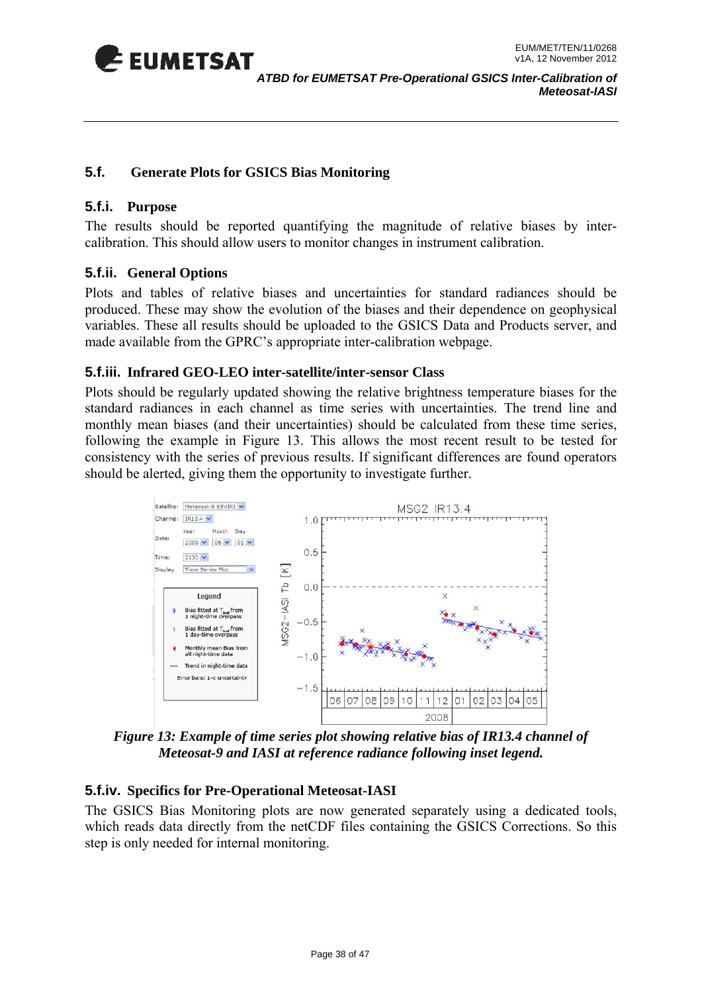<span id="page-37-0"></span>

#### **5.f. Generate Plots for GSICS Bias Monitoring**

#### **5.f.i. Purpose**

The results should be reported quantifying the magnitude of relative biases by intercalibration. This should allow users to monitor changes in instrument calibration.

#### **5.f.ii. General Options**

Plots and tables of relative biases and uncertainties for standard radiances should be produced. These may show the evolution of the biases and their dependence on geophysical variables. These all results should be uploaded to the GSICS Data and Products server, and made available from the GPRC's appropriate inter-calibration webpage.

#### **5.f.iii. Infrared GEO-LEO inter-satellite/inter-sensor Class**

monthly mean biases (and their uncertainties) should be calculated from these time series, following the example in Figure 13. This allows the most recent result to be tested for consistency with the series of previous results. If significant differences are found operators should be alerted, giving them the opportunity to investigate further. Plots should be regularly updated showing the relative brightness temperature biases for the standard radiances in each channel as time series with uncertainties. The trend line and



*Figure 13: Example of time series plot showing relative bias of IR13.4 channel of Meteosat-9 and IASI at reference radiance following inset legend.* 

#### **5.f.iv. Specifics for Pre-Operational Meteosat-IASI**

The GSICS Bias Monitoring plots are now generated separately using a dedicated tools, which reads data directly from the netCDF files containing the GSICS Corrections. So this step is only needed for internal monitoring.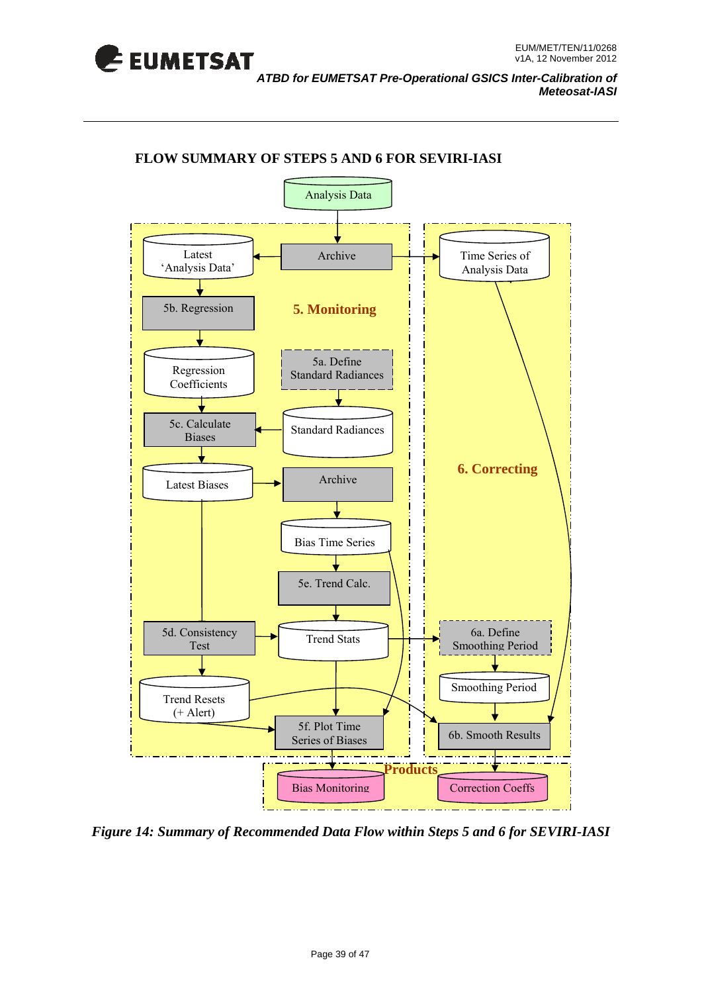<span id="page-38-0"></span>

*ATBD for EUMETSAT Pre-Operational GSICS Inter-Calibration of Meteosat-IASI* 



#### **FLOW SUMMARY OF STEPS 5 AND 6 FOR SEVIRI-IASI**

 *Figure 14: Summary of Recommended Data Flow within Steps 5 and 6 for SEVIRI-IASI*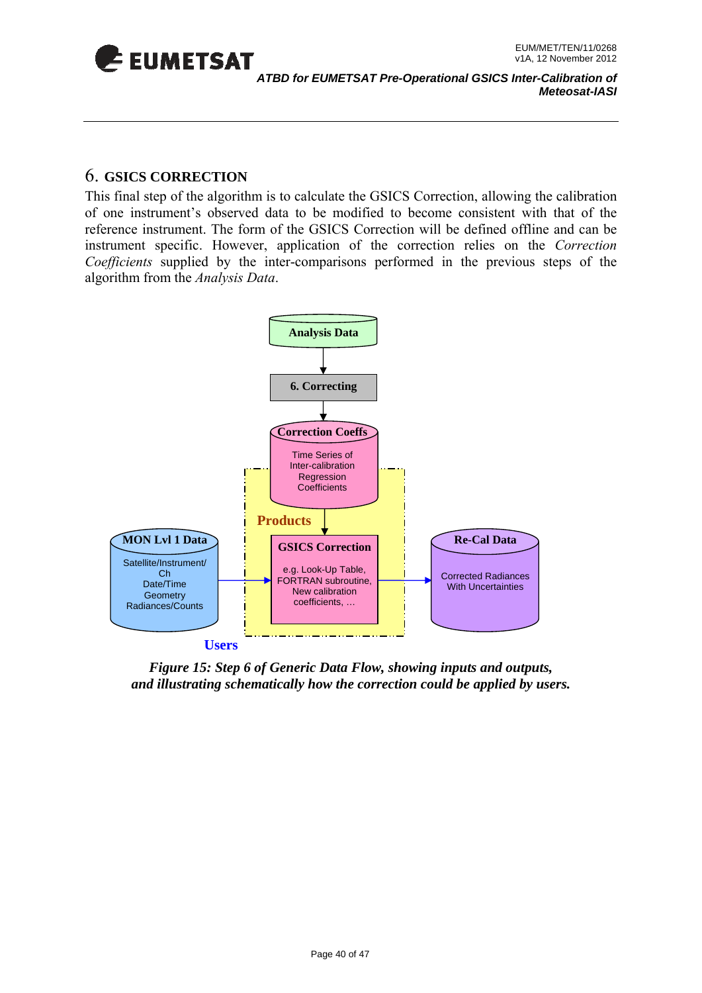<span id="page-39-0"></span>

### 6. **GSICS CORRECTION**

This final step of the algorithm is to calculate the GSICS Correction, allowing the calibration of one instrument's observed data to be modified to become consistent with that of the reference instrument. The form of the GSICS Correction will be defined offline and can be instrument specific. However, application of the correction relies on the *Correction*  Coefficients supplied by the inter-comparisons performed in the previous steps of the algorithm from the *Analysis Data*.



*Figure 15: Step 6 of Generic Data Flow, showing inputs and outputs, and illustrating schematically how the correction could be applied by users.*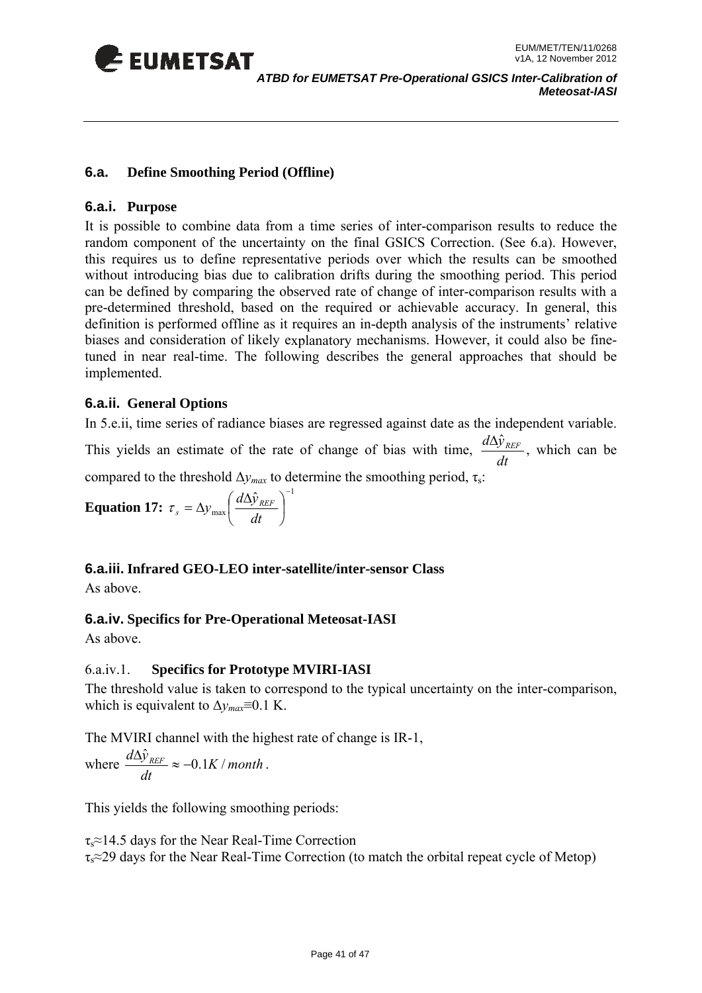<span id="page-40-0"></span>

#### **6.a. Define Smoothing Period (Offline)**

#### **6.a.i. Purpose**

without introducing bias due to calibration drifts during the smoothing period. This period can be defined by comparing the observed rate of change of inter-comparison results with a pre-determined threshold, based on the required or achievable accuracy. In general, this definition is performed offline as it requires an in-depth analysis of the instruments' relative biases and consideration of likely explanatory mechanisms. However, it could also be finetuned in near real-time. The following describes the general approaches that should be implemented. It is possible to combine data from a time series of inter-comparison results to reduce the random component of the uncertainty on the final GSICS Correction. (See 6.a). However, this requires us to define representative periods over which the results can be smoothed

#### **6.a.ii. General Options**

In 5.e.ii, time series of radiance biases are regressed against date as the independent variable.

This yields an estimate of the rate of change of bias with time, *dt*  $\frac{d\Delta \hat{y}_{REF}}{dx}$ , which can be compared to the threshold  $\Delta y_{max}$  to determine the smoothing period,  $\tau_s$ :

**Equation 17:** 
$$
\tau_s = \Delta y_{\text{max}} \left( \frac{d \Delta \hat{y}_{\text{REF}}}{dt} \right)^{-1}
$$

#### **6.a.iii. Infrared GEO-LEO inter-satellite/inter-sensor Class**

As above.

#### **6.a.iv. Specifics for Pre-Operational Meteosat-IASI**

As above.

#### 6.a.iv.1. **Specifics for Prototype MVIRI-IASI**

The threshold value is taken to correspond to the typical uncertainty on the inter-comparison, which is equivalent to  $\Delta y_{max} \equiv 0.1 \text{ K.}$ 

The MVIRI channel with the highest rate of change is IR-1,

where 
$$
\frac{d\Delta\hat{y}_{REF}}{dt} \approx -0.1K/month.
$$

This yields the following smoothing periods:

 $\tau_s \approx 14.5$  days for the Near Real-Time Correction  $\tau_s \approx 29$  days for the Near Real-Time Correction (to match the orbital repeat cycle of Metop)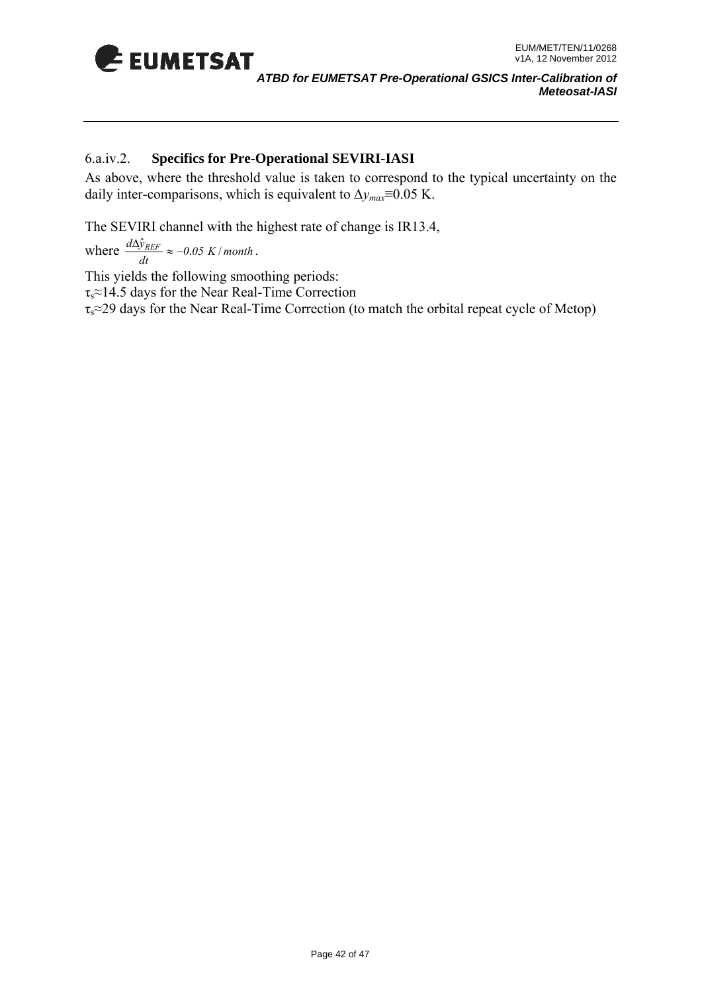

*ATBD for EUMETSAT Pre-Operational GSICS Inter-Calibration of Meteosat-IASI* 

#### 6.a.iv.2. **Specifics for Pre-Operational SEVIRI-IASI**

As above, where the threshold value is taken to correspond to the typical uncertainty on the daily inter-comparisons, which is equivalent to  $\Delta y_{max} \equiv 0.05$  K.

The SEVIRI channel with the highest rate of change is IR13.4,

where  $\frac{d\Delta\hat{y}_{REF}}{dt} \approx -0.05 K/month$ .

This yields the following smoothing periods:  $\tau_s \approx 14.5$  days for the Near Real-Time Correction  $\tau_s \approx 29$  days for the Near Real-Time Correction (to match the orbital repeat cycle of Metop)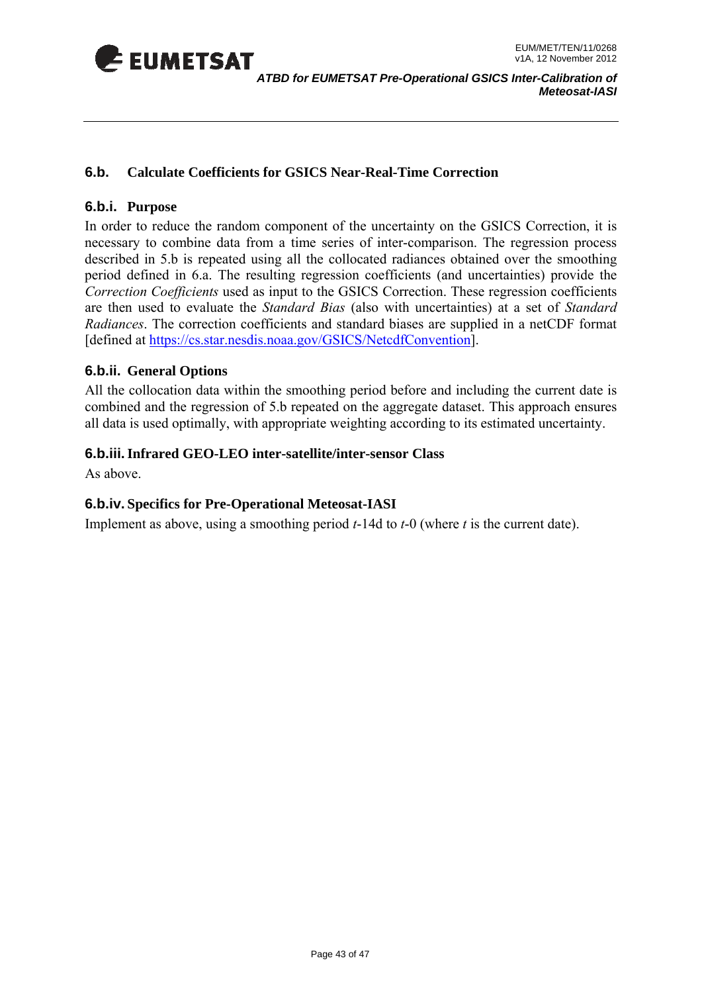<span id="page-42-0"></span>

*ATBD for EUMETSAT Pre-Operational GSICS Inter-Calibration of Meteosat-IASI* 

#### **6.b. Calculate Coefficients for GSICS Near-Real-Time Correction**

#### **6.b.i. Purpose**

In order to reduce the random component of the uncertainty on the GSICS Correction, it is necessary to combine data from a time series of inter-comparison. The regression process described in 5.b is repeated using all the collocated radiances obtained over the smoothing period defined in 6.a. The resulting regression coefficients (and uncertainties) provide the Correction Coefficients used as input to the GSICS Correction. These regression coefficients are then used to evaluate the *Standard Bias* (also with uncertainties) at a set of *Standard Radiances*. The correction coefficients and standard biases are supplied in a netCDF format [defined at https://cs.star.nesdis.noaa.gov/GSICS/NetcdfConvention].

#### **6.b.ii. General Options**

All the collocation data within the smoothing period before and including the current date is combined and the regression of 5.b repeated on the aggregate dataset. This approach ensures all data is used optimally, with appropriate weighting according to its estimated uncertainty.

#### **6.b.iii. Infrared GEO-LEO inter-satellite/inter-sensor Class**

As above.

#### **6.b.iv. Specifics for Pre-Operational Meteosat-IASI**

Implement as above, using a smoothing period *t*-14d to *t*-0 (where *t* is the current date).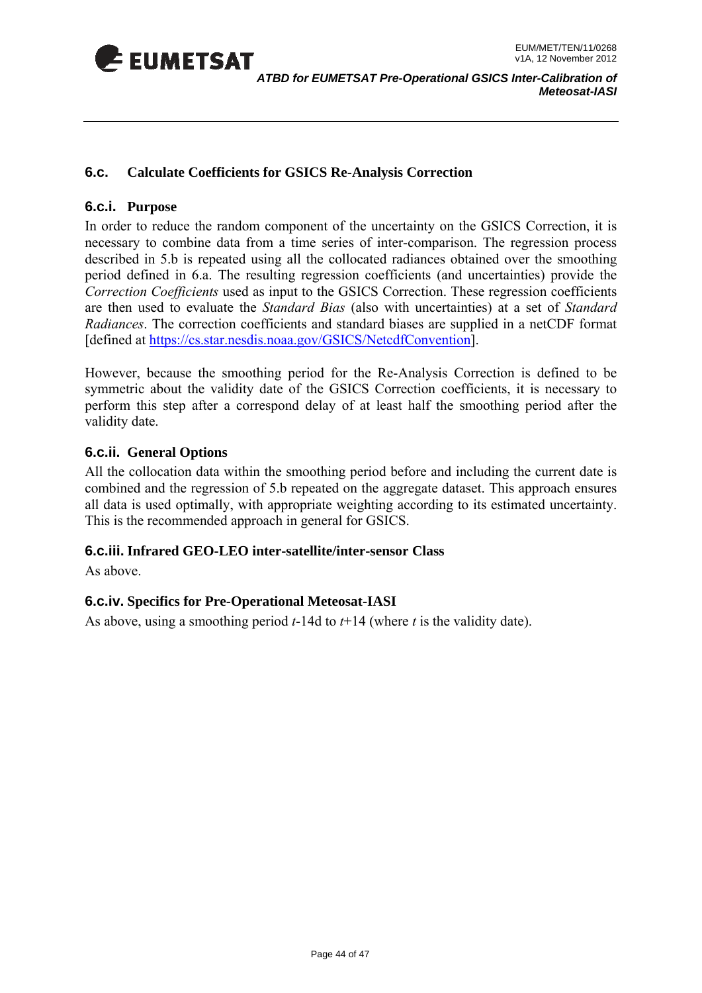<span id="page-43-0"></span>

#### **6.c. Calculate Coefficients for GSICS Re-Analysis Correction**

#### **6.c.i. Purpose**

In order to reduce the random component of the uncertainty on the GSICS Correction, it is necessary to combine data from a time series of inter-comparison. The regression process described in 5.b is repeated using all the collocated radiances obtained over the smoothing period defined in 6.a. The resulting regression coefficients (and uncertainties) provide the *Correction Coefficients* used as input to the GSICS Correction. These regression coefficients are then used to evaluate the *Standard Bias* (also with uncertainties) at a set of *Standard Radiances*. The correction coefficients and standard biases are supplied in a netCDF format [defined at https://cs.star.nesdis.noaa.gov/GSICS/NetcdfConvention].

However, because the smoothing period for the Re-Analysis Correction is defined to be symmetric about the validity date of the GSICS Correction coefficients, it is necessary to perform this step after a correspond delay of at least half the smoothing period after the validity date.

#### **6.c.ii. General Options**

All the collocation data within the smoothing period before and including the current date is combined and the regression of 5.b repeated on the aggregate dataset. This approach ensures all data is used optimally, with appropriate weighting according to its estimated uncertainty. This is the recommended approach in general for GSICS.

#### **6.c.iii. Infrared GEO-LEO inter-satellite/inter-sensor Class**

As above.

#### **6.c.iv. Specifics for Pre-Operational Meteosat-IASI**

As above, using a smoothing period *t*-14d to *t*+14 (where *t* is the validity date).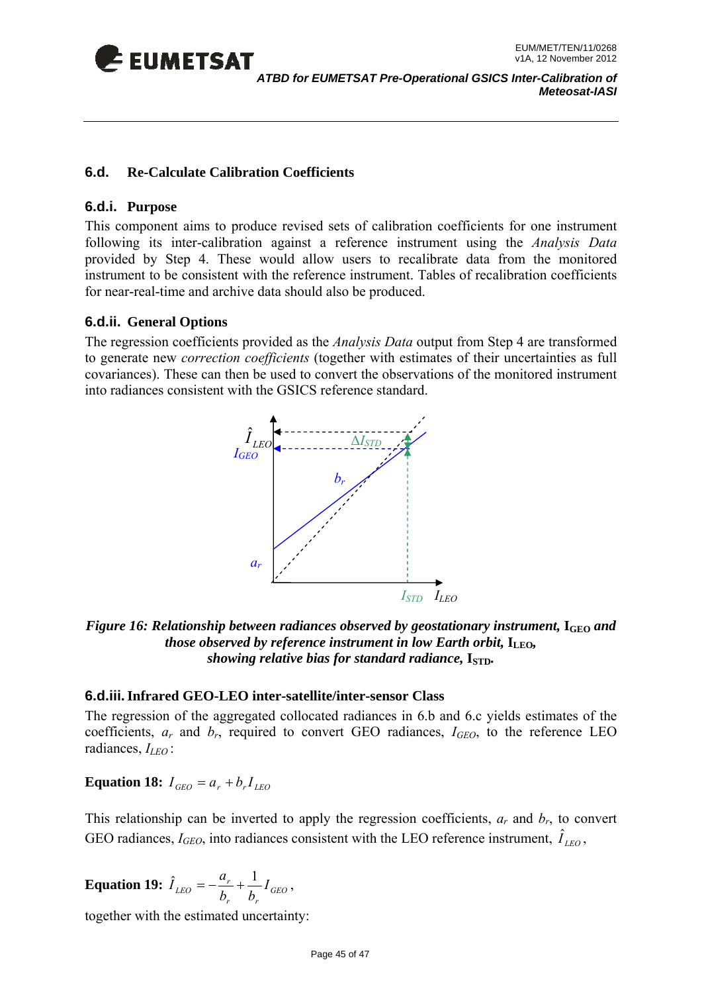<span id="page-44-0"></span>

#### **6.d. Re-Calculate Calibration Coefficients**

#### **6.d.i. Purpose**

This component aims to produce revised sets of calibration coefficients for one instrument following its inter-calibration against a reference instrument using the *Analysis Data* provided by Step 4. These would allow users to recalibrate data from the monitored instrument to be consistent with the reference instrument. Tables of recalibration coefficients for near-real-time and archive data should also be produced.

#### **6.d.ii. General Options**

The regression coefficients provided as the *Analysis Data* output from Step 4 are transformed to generate new *correction coefficients* (together with estimates of their uncertainties as full covariances). These can then be used to convert the observations of the monitored instrument into radiances consistent with the GSICS reference standard.



#### Figure 16: Relationship between radiances observed by geostationary instrument, I<sub>GEO</sub> and *those observed by reference instrument in low Earth orbit,*  $I_{\text{LEO}}$ *, showing relative bias for standard radiance,*  $I_{STD}$ *.*

#### **6.d.iii. Infrared GEO-LEO inter-satellite/inter-sensor Class**

The regression of the aggregated collocated radiances in 6.b and 6.c yields estimates of the coefficients,  $a_r$  and  $b_r$ , required to convert GEO radiances,  $I_{GEO}$ , to the reference LEO radiances, *ILEO* :

#### **Equation 18:**  $I_{GEO} = a_r + b_r I_{LEO}$

This relationship can be inverted to apply the regression coefficients,  $a_r$  and  $b_r$ , to convert GEO radiances,  $I_{GEO}$ , into radiances consistent with the LEO reference instrument,  $\hat{I}_{LEO}$ ,

**Equation 19:** 
$$
\hat{I}_{LEO} = -\frac{a_r}{b_r} + \frac{1}{b_r} I_{GEO}
$$
,

together with the estimated uncertainty: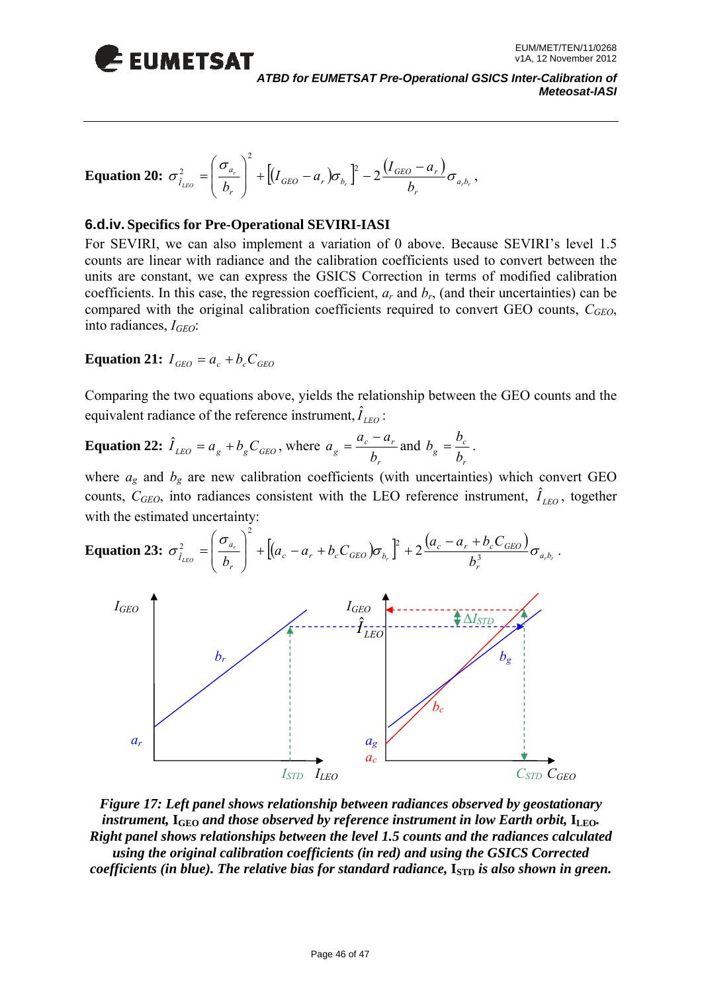

*ATBD for EUMETSAT Pre-Operational GSICS Inter-Calibration of Meteosat-IASI* 

**Equation 20:** 
$$
\sigma_{\hat{i}_{LEO}}^2 = \left(\frac{\sigma_{a_r}}{b_r}\right)^2 + \left[ (I_{GEO} - a_r) \sigma_{b_r} \right]^2 - 2 \frac{(I_{GEO} - a_r)}{b_r} \sigma_{a,b_r}
$$
,

#### **6.d.iv. Specifics for Pre-Operational SEVIRI-IASI**

coefficients. In this case, the regression coefficient,  $a_r$  and  $b_r$ , (and their uncertainties) can be compared with the original calibration coefficients required to convert GEO counts, *CGEO*, For SEVIRI, we can also implement a variation of 0 above. Because SEVIRI's level 1.5 counts are linear with radiance and the calibration coefficients used to convert between the units are constant, we can express the GSICS Correction in terms of modified calibration into radiances, *IGEO*:

**Equation 21:**  $I_{CFO} = a_e + b_eC_{CFO}$ 

Comparing the two equations above, yields the relationship between the GEO counts and the equivalent radiance of the reference instrument,  $\hat{I}_{LEO}$ :

**Equation 22:** 
$$
\hat{I}_{LEO} = a_g + b_g C_{GEO}
$$
, where  $a_g = \frac{a_c - a_r}{b_r}$  and  $b_g = \frac{b_c}{b_r}$ .

where  $a_g$  and  $b_g$  are new calibration coefficients (with uncertainties) which convert GEO counts,  $C_{GEO}$ , into radiances consistent with the LEO reference instrument,  $\hat{I}_{LEO}$ , together with the estimated uncertainty:



*Figure 17: Left panel shows relationship between radiances observed by geostationary*  Right panel shows relationships between the level 1.5 counts and the radiances calculated *using the original calibration coefficients (in red) and using the GSICS Corrected coefficients (in blue). The relative bias for standard radiance,*  $I_{\text{STD}}$  *is also shown in green. instrument,*  $I_{\text{GEO}}$  *and those observed by reference instrument in low Earth orbit,*  $I_{\text{LEO}}$